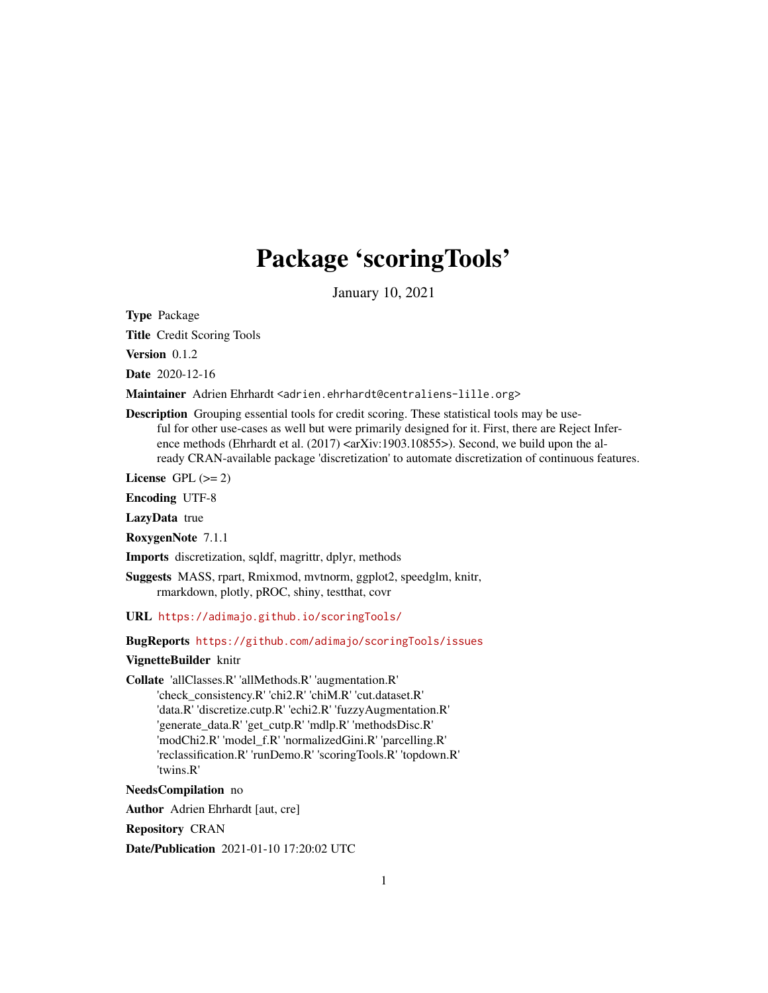# Package 'scoringTools'

January 10, 2021

Type Package

Title Credit Scoring Tools

Version 0.1.2

Date 2020-12-16

Maintainer Adrien Ehrhardt <adrien.ehrhardt@centraliens-lille.org>

Description Grouping essential tools for credit scoring. These statistical tools may be useful for other use-cases as well but were primarily designed for it. First, there are Reject Inference methods (Ehrhardt et al.  $(2017)$  <arXiv:1903.10855>). Second, we build upon the already CRAN-available package 'discretization' to automate discretization of continuous features.

License GPL  $(>= 2)$ 

Encoding UTF-8

LazyData true

RoxygenNote 7.1.1

Imports discretization, sqldf, magrittr, dplyr, methods

Suggests MASS, rpart, Rmixmod, mvtnorm, ggplot2, speedglm, knitr, rmarkdown, plotly, pROC, shiny, testthat, covr

URL <https://adimajo.github.io/scoringTools/>

BugReports <https://github.com/adimajo/scoringTools/issues>

#### VignetteBuilder knitr

Collate 'allClasses.R' 'allMethods.R' 'augmentation.R'

'check\_consistency.R' 'chi2.R' 'chiM.R' 'cut.dataset.R' 'data.R' 'discretize.cutp.R' 'echi2.R' 'fuzzyAugmentation.R' 'generate\_data.R' 'get\_cutp.R' 'mdlp.R' 'methodsDisc.R' 'modChi2.R' 'model\_f.R' 'normalizedGini.R' 'parcelling.R' 'reclassification.R' 'runDemo.R' 'scoringTools.R' 'topdown.R' 'twins.R'

#### NeedsCompilation no

Author Adrien Ehrhardt [aut, cre]

Repository CRAN

Date/Publication 2021-01-10 17:20:02 UTC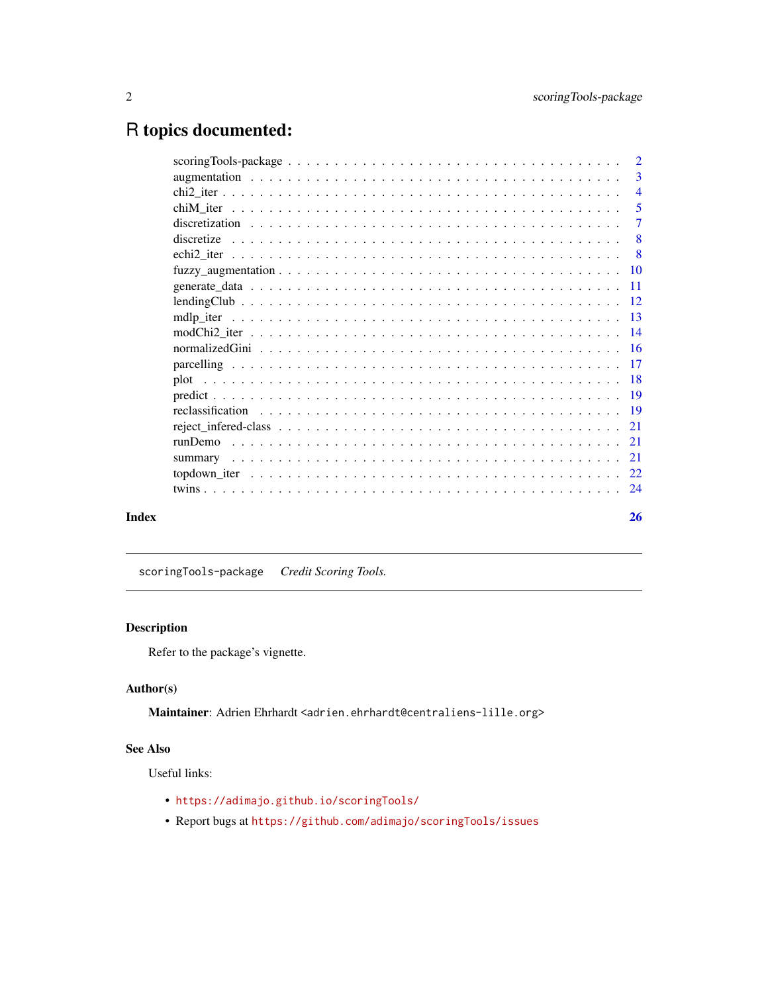## <span id="page-1-0"></span>R topics documented:

|  |  |  |  |  |  |  |  |  |  |  |  |  |  | 3              |
|--|--|--|--|--|--|--|--|--|--|--|--|--|--|----------------|
|  |  |  |  |  |  |  |  |  |  |  |  |  |  |                |
|  |  |  |  |  |  |  |  |  |  |  |  |  |  |                |
|  |  |  |  |  |  |  |  |  |  |  |  |  |  | $\overline{7}$ |
|  |  |  |  |  |  |  |  |  |  |  |  |  |  |                |
|  |  |  |  |  |  |  |  |  |  |  |  |  |  | - 8            |
|  |  |  |  |  |  |  |  |  |  |  |  |  |  |                |
|  |  |  |  |  |  |  |  |  |  |  |  |  |  |                |
|  |  |  |  |  |  |  |  |  |  |  |  |  |  |                |
|  |  |  |  |  |  |  |  |  |  |  |  |  |  |                |
|  |  |  |  |  |  |  |  |  |  |  |  |  |  |                |
|  |  |  |  |  |  |  |  |  |  |  |  |  |  |                |
|  |  |  |  |  |  |  |  |  |  |  |  |  |  |                |
|  |  |  |  |  |  |  |  |  |  |  |  |  |  |                |
|  |  |  |  |  |  |  |  |  |  |  |  |  |  |                |
|  |  |  |  |  |  |  |  |  |  |  |  |  |  |                |
|  |  |  |  |  |  |  |  |  |  |  |  |  |  |                |
|  |  |  |  |  |  |  |  |  |  |  |  |  |  |                |
|  |  |  |  |  |  |  |  |  |  |  |  |  |  |                |
|  |  |  |  |  |  |  |  |  |  |  |  |  |  |                |
|  |  |  |  |  |  |  |  |  |  |  |  |  |  |                |
|  |  |  |  |  |  |  |  |  |  |  |  |  |  |                |
|  |  |  |  |  |  |  |  |  |  |  |  |  |  | 26             |

scoringTools-package *Credit Scoring Tools.*

#### Description

Refer to the package's vignette.

#### Author(s)

Maintainer: Adrien Ehrhardt <adrien.ehrhardt@centraliens-lille.org>

#### See Also

Useful links:

- <https://adimajo.github.io/scoringTools/>
- Report bugs at <https://github.com/adimajo/scoringTools/issues>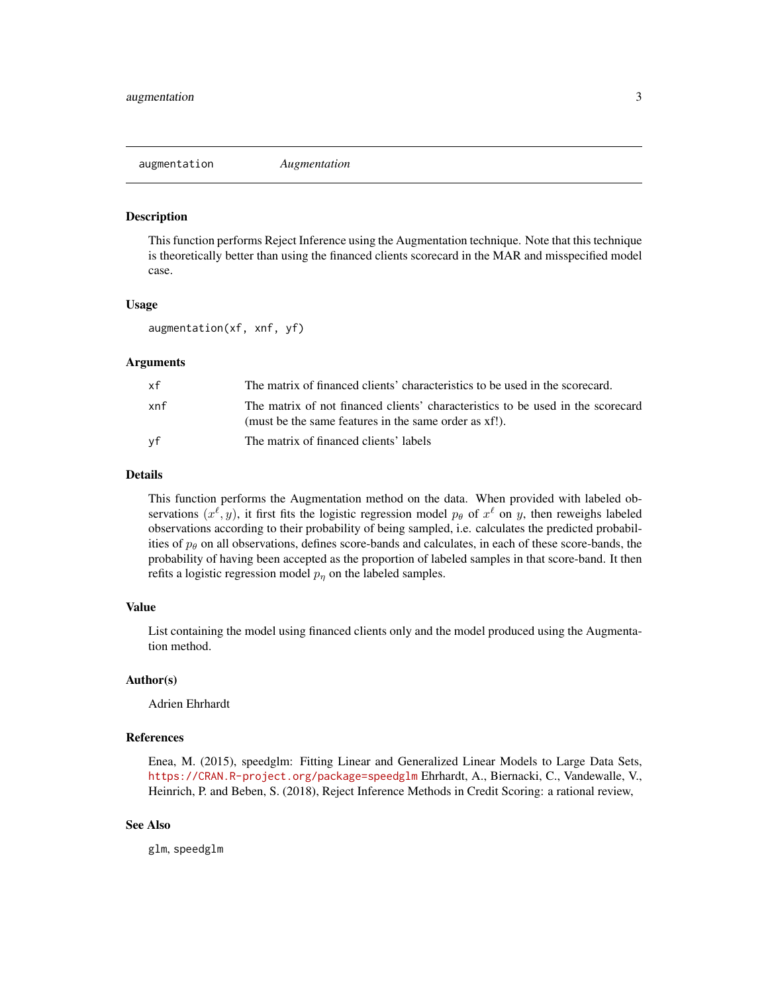<span id="page-2-0"></span>augmentation *Augmentation*

#### Description

This function performs Reject Inference using the Augmentation technique. Note that this technique is theoretically better than using the financed clients scorecard in the MAR and misspecified model case.

#### Usage

augmentation(xf, xnf, yf)

#### **Arguments**

| хf  | The matrix of financed clients' characteristics to be used in the scorecard.                                                             |
|-----|------------------------------------------------------------------------------------------------------------------------------------------|
| xnf | The matrix of not financed clients' characteristics to be used in the scorecard<br>(must be the same features in the same order as xf!). |
| vf  | The matrix of financed clients' labels                                                                                                   |

#### Details

This function performs the Augmentation method on the data. When provided with labeled observations  $(x^{\ell}, y)$ , it first fits the logistic regression model  $p_{\theta}$  of  $x^{\ell}$  on y, then reweighs labeled observations according to their probability of being sampled, i.e. calculates the predicted probabilities of  $p_\theta$  on all observations, defines score-bands and calculates, in each of these score-bands, the probability of having been accepted as the proportion of labeled samples in that score-band. It then refits a logistic regression model  $p_n$  on the labeled samples.

#### Value

List containing the model using financed clients only and the model produced using the Augmentation method.

#### Author(s)

Adrien Ehrhardt

#### References

Enea, M. (2015), speedglm: Fitting Linear and Generalized Linear Models to Large Data Sets, <https://CRAN.R-project.org/package=speedglm> Ehrhardt, A., Biernacki, C., Vandewalle, V., Heinrich, P. and Beben, S. (2018), Reject Inference Methods in Credit Scoring: a rational review,

#### See Also

glm, speedglm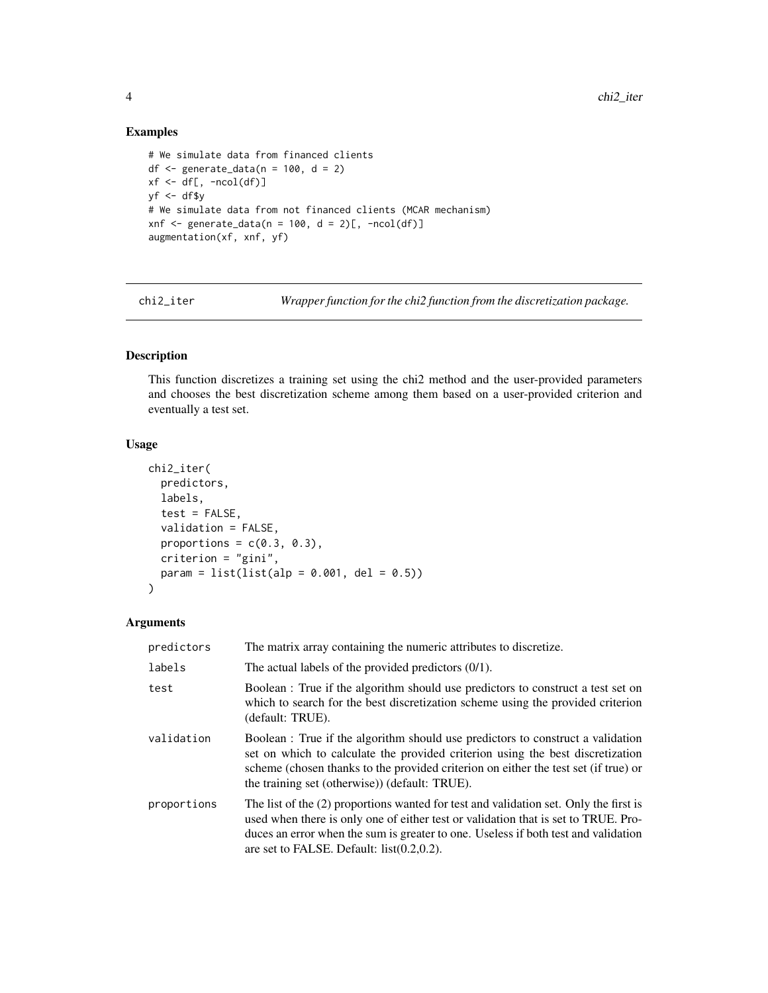#### Examples

```
# We simulate data from financed clients
df \le generate_data(n = 100, d = 2)
xf \leftarrow df[, -ncol(df)]vf \leftarrow df$v
# We simulate data from not financed clients (MCAR mechanism)
xnf <- generate_data(n = 100, d = 2)[, -ncol(df)]
augmentation(xf, xnf, yf)
```
chi2\_iter *Wrapper function for the chi2 function from the discretization package.*

#### Description

This function discretizes a training set using the chi2 method and the user-provided parameters and chooses the best discretization scheme among them based on a user-provided criterion and eventually a test set.

#### Usage

```
chi2_iter(
 predictors,
 labels,
  test = FALSE,validation = FALSE,
 proportions = c(0.3, 0.3),
 criterion = "gini",
 param = list(list(ab = 0.001, del = 0.5)))
```
#### Arguments

| predictors  | The matrix array containing the numeric attributes to discretize.                                                                                                                                                                                                                                                  |
|-------------|--------------------------------------------------------------------------------------------------------------------------------------------------------------------------------------------------------------------------------------------------------------------------------------------------------------------|
| labels      | The actual labels of the provided predictors $(0/1)$ .                                                                                                                                                                                                                                                             |
| test        | Boolean: True if the algorithm should use predictors to construct a test set on<br>which to search for the best discretization scheme using the provided criterion<br>(default: TRUE).                                                                                                                             |
| validation  | Boolean : True if the algorithm should use predictors to construct a validation<br>set on which to calculate the provided criterion using the best discretization<br>scheme (chosen thanks to the provided criterion on either the test set (if true) or<br>the training set (otherwise)) (default: TRUE).         |
| proportions | The list of the (2) proportions wanted for test and validation set. Only the first is<br>used when there is only one of either test or validation that is set to TRUE. Pro-<br>duces an error when the sum is greater to one. Useless if both test and validation<br>are set to FALSE. Default: $list(0.2, 0.2)$ . |

<span id="page-3-0"></span>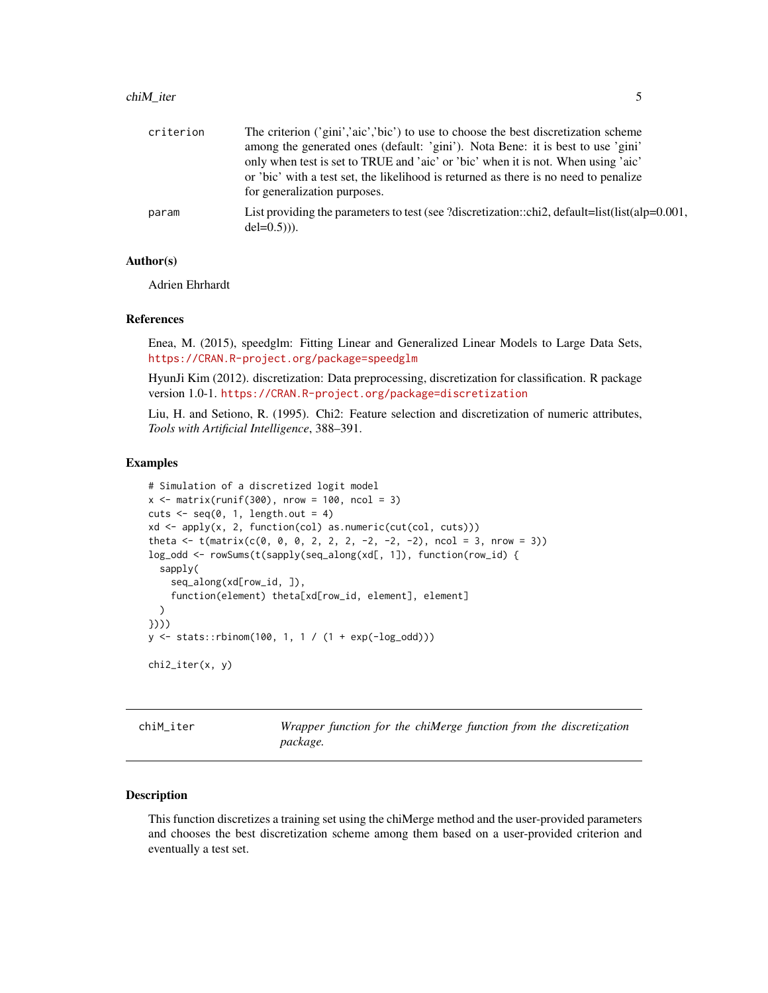#### <span id="page-4-0"></span>chiM\_iter 5

| criterion | The criterion ('gini','aic','bic') to use to choose the best discretization scheme                                   |
|-----------|----------------------------------------------------------------------------------------------------------------------|
|           | among the generated ones (default: 'gini'). Nota Bene: it is best to use 'gini'                                      |
|           | only when test is set to TRUE and 'aic' or 'bic' when it is not. When using 'aic'                                    |
|           | or 'bic' with a test set, the likelihood is returned as there is no need to penalize<br>for generalization purposes. |
| param     | List providing the parameters to test (see ?discretization::chi2, default=list(list(alp= $0.001$ ,<br>$del=0.5)$ ).  |

#### Author(s)

Adrien Ehrhardt

#### References

Enea, M. (2015), speedglm: Fitting Linear and Generalized Linear Models to Large Data Sets, <https://CRAN.R-project.org/package=speedglm>

HyunJi Kim (2012). discretization: Data preprocessing, discretization for classification. R package version 1.0-1. <https://CRAN.R-project.org/package=discretization>

Liu, H. and Setiono, R. (1995). Chi2: Feature selection and discretization of numeric attributes, *Tools with Artificial Intelligence*, 388–391.

#### Examples

```
# Simulation of a discretized logit model
x \le - matrix(runif(300), nrow = 100, ncol = 3)
cuts \leq seq(0, 1, length.out = 4)
xd <- apply(x, 2, function(col) as.numeric(cut(col, cuts)))
theta \leq t(matrix(c(0, 0, 0, 2, 2, 2, -2, -2, -2), ncol = 3, nrow = 3))
log_odd <- rowSums(t(sapply(seq_along(xd[, 1]), function(row_id) {
  sapply(
    seq_along(xd[row_id, ]),
    function(element) theta[xd[row_id, element], element]
  )
})))
y \le - stats::rbinom(100, 1, 1 / (1 + exp(-log_odd)))
chi2_iter(x, y)
```
chiM\_iter *Wrapper function for the chiMerge function from the discretization package.*

#### Description

This function discretizes a training set using the chiMerge method and the user-provided parameters and chooses the best discretization scheme among them based on a user-provided criterion and eventually a test set.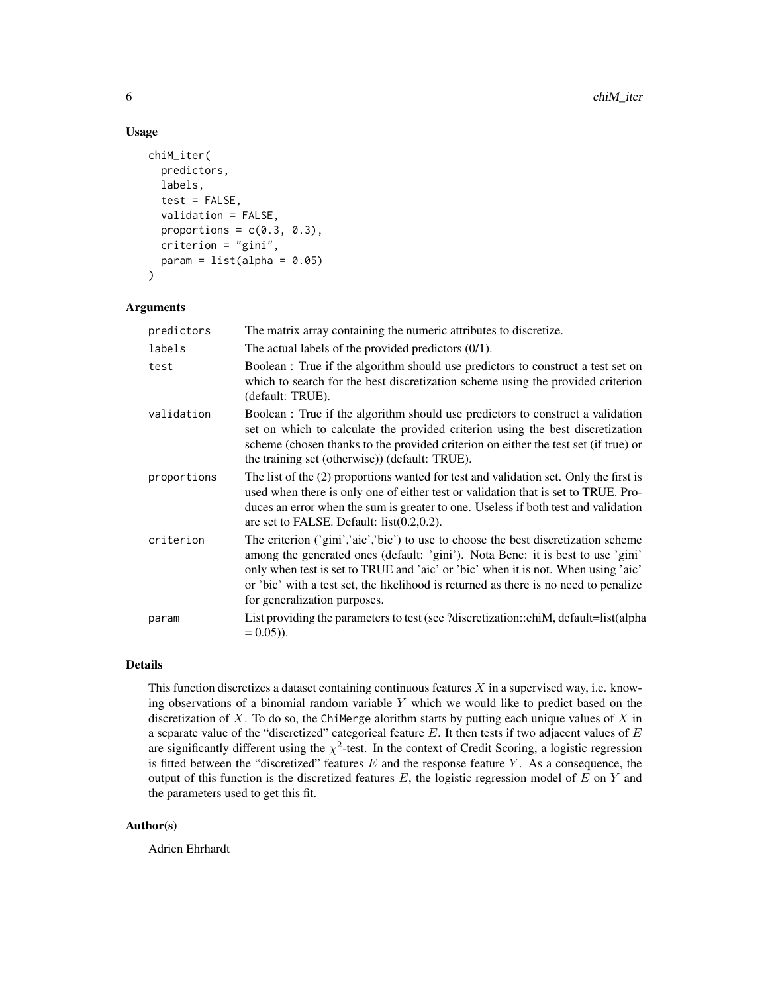#### Usage

```
chiM_iter(
  predictors,
  labels,
  test = FALSE,
  validation = FALSE,
  proportions = c(0.3, 0.3),
  criterion = "gini",
  param = list(alpha = 0.05))
```
#### Arguments

| predictors  | The matrix array containing the numeric attributes to discretize.                                                                                                                                                                                                                                                                                                                  |
|-------------|------------------------------------------------------------------------------------------------------------------------------------------------------------------------------------------------------------------------------------------------------------------------------------------------------------------------------------------------------------------------------------|
| labels      | The actual labels of the provided predictors $(0/1)$ .                                                                                                                                                                                                                                                                                                                             |
| test        | Boolean : True if the algorithm should use predictors to construct a test set on<br>which to search for the best discretization scheme using the provided criterion<br>(default: TRUE).                                                                                                                                                                                            |
| validation  | Boolean : True if the algorithm should use predictors to construct a validation<br>set on which to calculate the provided criterion using the best discretization<br>scheme (chosen thanks to the provided criterion on either the test set (if true) or<br>the training set (otherwise)) (default: TRUE).                                                                         |
| proportions | The list of the (2) proportions wanted for test and validation set. Only the first is<br>used when there is only one of either test or validation that is set to TRUE. Pro-<br>duces an error when the sum is greater to one. Useless if both test and validation<br>are set to FALSE. Default: $list(0.2, 0.2)$ .                                                                 |
| criterion   | The criterion ('gini','aic','bic') to use to choose the best discretization scheme<br>among the generated ones (default: 'gini'). Nota Bene: it is best to use 'gini'<br>only when test is set to TRUE and 'aic' or 'bic' when it is not. When using 'aic'<br>or 'bic' with a test set, the likelihood is returned as there is no need to penalize<br>for generalization purposes. |
| param       | List providing the parameters to test (see ?discretization::chiM, default=list(alpha<br>$= 0.05$ ).                                                                                                                                                                                                                                                                                |

#### Details

This function discretizes a dataset containing continuous features  $X$  in a supervised way, i.e. knowing observations of a binomial random variable Y which we would like to predict based on the discretization of  $X$ . To do so, the ChiMerge alorithm starts by putting each unique values of  $X$  in a separate value of the "discretized" categorical feature  $E$ . It then tests if two adjacent values of  $E$ are significantly different using the  $\chi^2$ -test. In the context of Credit Scoring, a logistic regression is fitted between the "discretized" features  $E$  and the response feature  $Y$ . As a consequence, the output of this function is the discretized features  $E$ , the logistic regression model of  $E$  on  $Y$  and the parameters used to get this fit.

#### Author(s)

Adrien Ehrhardt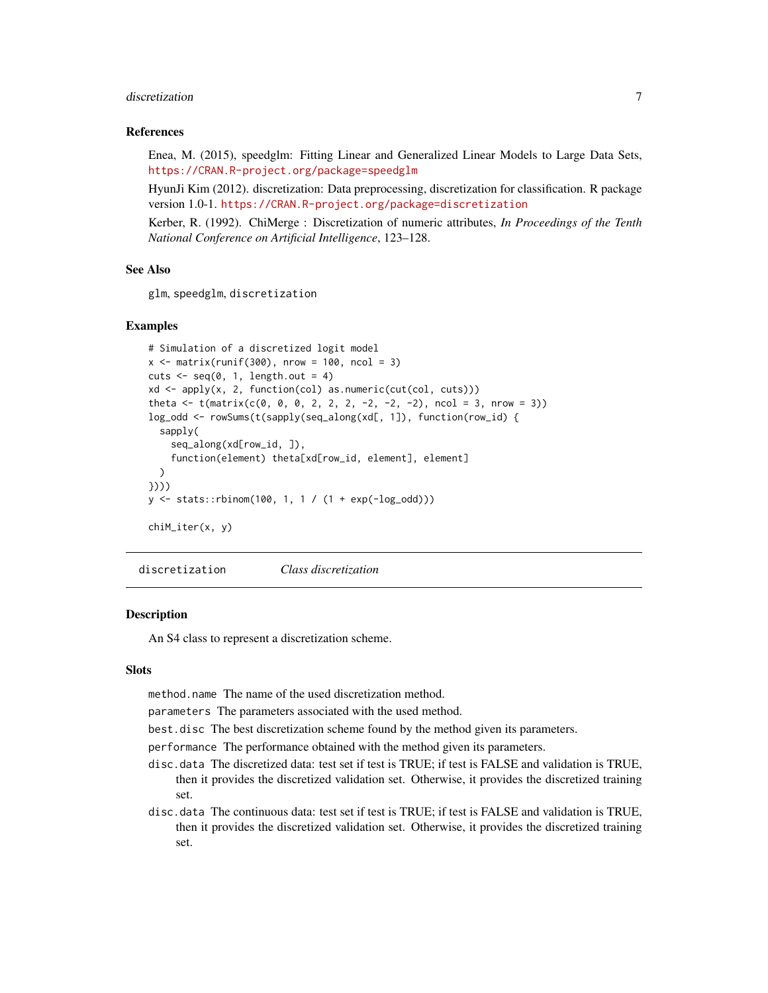#### <span id="page-6-0"></span>discretization and  $\overline{7}$

#### References

Enea, M. (2015), speedglm: Fitting Linear and Generalized Linear Models to Large Data Sets, <https://CRAN.R-project.org/package=speedglm>

HyunJi Kim (2012). discretization: Data preprocessing, discretization for classification. R package version 1.0-1. <https://CRAN.R-project.org/package=discretization>

Kerber, R. (1992). ChiMerge : Discretization of numeric attributes, *In Proceedings of the Tenth National Conference on Artificial Intelligence*, 123–128.

#### See Also

glm, speedglm, discretization

#### Examples

```
# Simulation of a discretized logit model
x \le matrix(runif(300), nrow = 100, ncol = 3)
cuts \leq seq(0, 1, length.out = 4)
xd <- apply(x, 2, function(col) as.numeric(cut(col, cuts)))
theta \leq t(matrix(c(0, 0, 0, 2, 2, 2, -2, -2, -2), ncol = 3, nrow = 3))
log_odd <- rowSums(t(sapply(seq_along(xd[, 1]), function(row_id) {
  sapply(
    seq_along(xd[row_id, ]),
    function(element) theta[xd[row_id, element], element]
  )
})))
y <- stats::rbinom(100, 1, 1 / (1 + exp(-log_odd)))
chiM_iter(x, y)
```
discretization *Class discretization*

#### **Description**

An S4 class to represent a discretization scheme.

#### **Slots**

method.name The name of the used discretization method.

parameters The parameters associated with the used method.

best.disc The best discretization scheme found by the method given its parameters.

performance The performance obtained with the method given its parameters.

- disc.data The discretized data: test set if test is TRUE; if test is FALSE and validation is TRUE, then it provides the discretized validation set. Otherwise, it provides the discretized training set.
- disc.data The continuous data: test set if test is TRUE; if test is FALSE and validation is TRUE, then it provides the discretized validation set. Otherwise, it provides the discretized training set.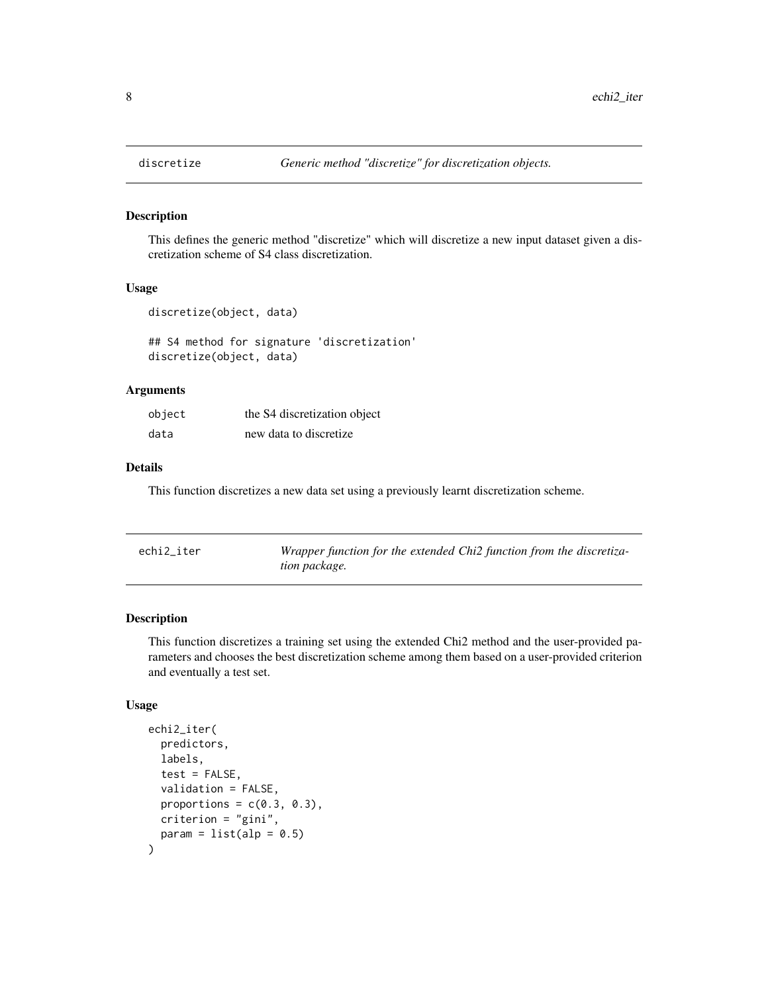#### Description

This defines the generic method "discretize" which will discretize a new input dataset given a discretization scheme of S4 class discretization.

#### Usage

```
discretize(object, data)
```
## S4 method for signature 'discretization' discretize(object, data)

#### Arguments

| object | the S4 discretization object |
|--------|------------------------------|
| data   | new data to discretize       |

#### Details

This function discretizes a new data set using a previously learnt discretization scheme.

| echi2_iter | Wrapper function for the extended Chi2 function from the discretiza- |
|------------|----------------------------------------------------------------------|
|            | tion package.                                                        |

#### Description

This function discretizes a training set using the extended Chi2 method and the user-provided parameters and chooses the best discretization scheme among them based on a user-provided criterion and eventually a test set.

#### Usage

```
echi2_iter(
  predictors,
  labels,
  test = FALSE,
  validation = FALSE,
  proportions = c(0.3, 0.3),
 criterion = "gini",
  param = list(alp = 0.5))
```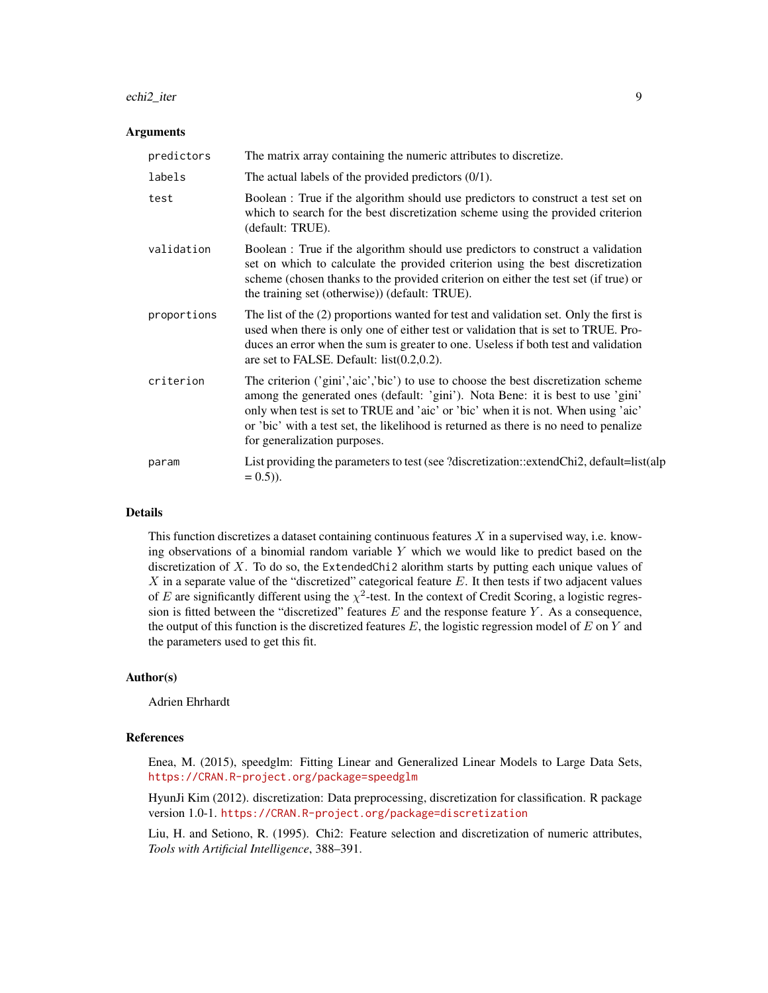#### echi2\_iter 9

#### Arguments

| predictors  | The matrix array containing the numeric attributes to discretize.                                                                                                                                                                                                                                                                                                                  |
|-------------|------------------------------------------------------------------------------------------------------------------------------------------------------------------------------------------------------------------------------------------------------------------------------------------------------------------------------------------------------------------------------------|
| labels      | The actual labels of the provided predictors $(0/1)$ .                                                                                                                                                                                                                                                                                                                             |
| test        | Boolean : True if the algorithm should use predictors to construct a test set on<br>which to search for the best discretization scheme using the provided criterion<br>(default: TRUE).                                                                                                                                                                                            |
| validation  | Boolean : True if the algorithm should use predictors to construct a validation<br>set on which to calculate the provided criterion using the best discretization<br>scheme (chosen thanks to the provided criterion on either the test set (if true) or<br>the training set (otherwise)) (default: TRUE).                                                                         |
| proportions | The list of the (2) proportions wanted for test and validation set. Only the first is<br>used when there is only one of either test or validation that is set to TRUE. Pro-<br>duces an error when the sum is greater to one. Useless if both test and validation<br>are set to FALSE. Default: $list(0.2, 0.2)$ .                                                                 |
| criterion   | The criterion ('gini','aic','bic') to use to choose the best discretization scheme<br>among the generated ones (default: 'gini'). Nota Bene: it is best to use 'gini'<br>only when test is set to TRUE and 'aic' or 'bic' when it is not. When using 'aic'<br>or 'bic' with a test set, the likelihood is returned as there is no need to penalize<br>for generalization purposes. |
| param       | List providing the parameters to test (see ?discretization::extendChi2, default=list(alp<br>$= 0.5$ ).                                                                                                                                                                                                                                                                             |

#### Details

This function discretizes a dataset containing continuous features  $X$  in a supervised way, i.e. knowing observations of a binomial random variable Y which we would like to predict based on the discretization of  $X$ . To do so, the ExtendedChi2 alorithm starts by putting each unique values of  $X$  in a separate value of the "discretized" categorical feature  $E$ . It then tests if two adjacent values of E are significantly different using the  $\chi^2$ -test. In the context of Credit Scoring, a logistic regression is fitted between the "discretized" features  $E$  and the response feature  $Y$ . As a consequence, the output of this function is the discretized features  $E$ , the logistic regression model of  $E$  on  $Y$  and the parameters used to get this fit.

#### Author(s)

Adrien Ehrhardt

#### References

Enea, M. (2015), speedglm: Fitting Linear and Generalized Linear Models to Large Data Sets, <https://CRAN.R-project.org/package=speedglm>

HyunJi Kim (2012). discretization: Data preprocessing, discretization for classification. R package version 1.0-1. <https://CRAN.R-project.org/package=discretization>

Liu, H. and Setiono, R. (1995). Chi2: Feature selection and discretization of numeric attributes, *Tools with Artificial Intelligence*, 388–391.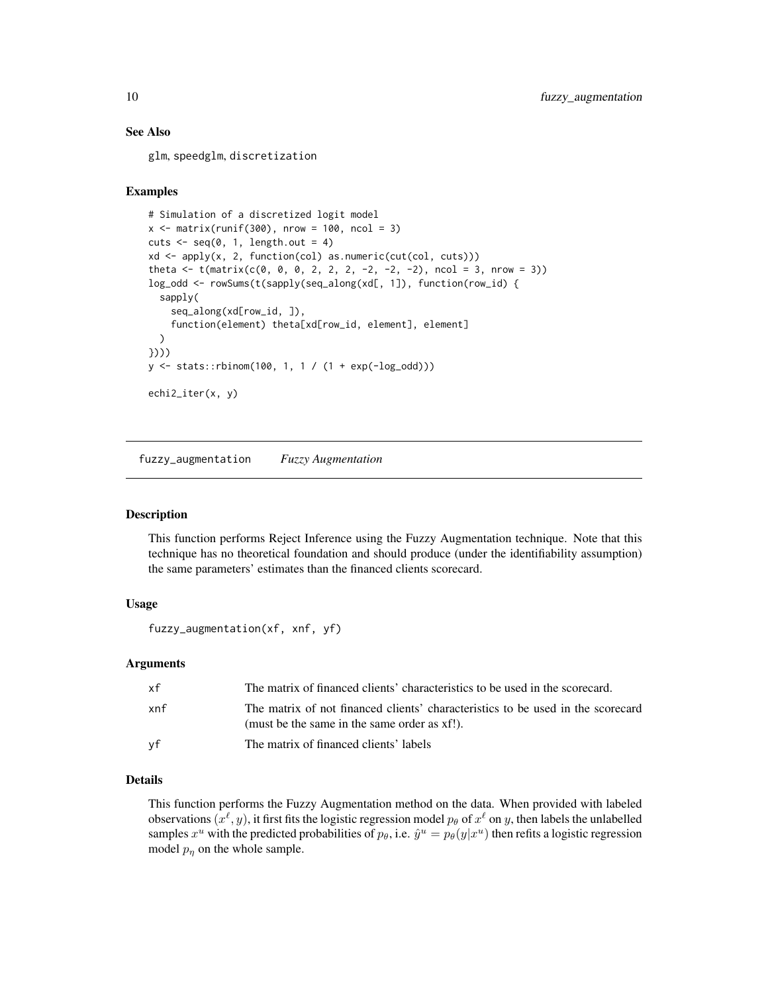#### See Also

glm, speedglm, discretization

#### Examples

```
# Simulation of a discretized logit model
x \le - matrix(runif(300), nrow = 100, ncol = 3)
cuts \leq seq(0, 1, length.out = 4)
xd <- apply(x, 2, function(col) as.numeric(cut(col, cuts)))
theta <- t(matrix(c(0, 0, 0, 2, 2, 2, -2, -2, -2), ncol = 3, nrow = 3))
log_odd <- rowSums(t(sapply(seq_along(xd[, 1]), function(row_id) {
  sapply(
    seq_along(xd[row_id, ]),
    function(element) theta[xd[row_id, element], element]
  )
})))
y <- stats::rbinom(100, 1, 1 / (1 + exp(-log_odd)))
echi2_iter(x, y)
```
fuzzy\_augmentation *Fuzzy Augmentation*

#### Description

This function performs Reject Inference using the Fuzzy Augmentation technique. Note that this technique has no theoretical foundation and should produce (under the identifiability assumption) the same parameters' estimates than the financed clients scorecard.

#### Usage

```
fuzzy_augmentation(xf, xnf, yf)
```
#### Arguments

| хf  | The matrix of financed clients' characteristics to be used in the scorecard.                                                    |
|-----|---------------------------------------------------------------------------------------------------------------------------------|
| xnf | The matrix of not financed clients' characteristics to be used in the scorecard<br>(must be the same in the same order as xf!). |
| vf  | The matrix of financed clients' labels                                                                                          |

#### Details

This function performs the Fuzzy Augmentation method on the data. When provided with labeled observations  $(x^{\ell}, y)$ , it first fits the logistic regression model  $p_{\theta}$  of  $x^{\ell}$  on  $y$ , then labels the unlabelled samples  $x^u$  with the predicted probabilities of  $p_\theta$ , i.e.  $\hat{y}^u = p_\theta(y|x^u)$  then refits a logistic regression model  $p_n$  on the whole sample.

<span id="page-9-0"></span>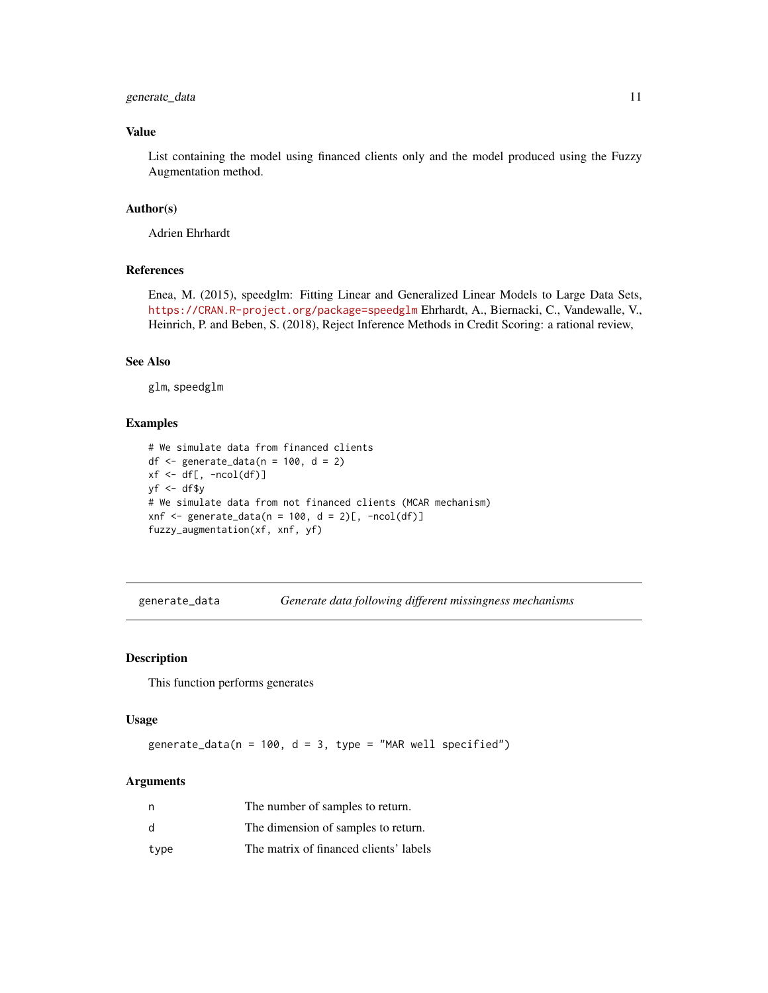#### <span id="page-10-0"></span>generate\_data 11

#### Value

List containing the model using financed clients only and the model produced using the Fuzzy Augmentation method.

#### Author(s)

Adrien Ehrhardt

#### References

Enea, M. (2015), speedglm: Fitting Linear and Generalized Linear Models to Large Data Sets, <https://CRAN.R-project.org/package=speedglm> Ehrhardt, A., Biernacki, C., Vandewalle, V., Heinrich, P. and Beben, S. (2018), Reject Inference Methods in Credit Scoring: a rational review,

#### See Also

glm, speedglm

#### Examples

```
# We simulate data from financed clients
df <- generate_data(n = 100, d = 2)
xf \leftarrow df[, -ncol(df)]yf <- df$y
# We simulate data from not financed clients (MCAR mechanism)
xnf <- generate_data(n = 100, d = 2)[, -ncol(df)]
fuzzy_augmentation(xf, xnf, yf)
```
generate\_data *Generate data following different missingness mechanisms*

#### Description

This function performs generates

#### Usage

generate\_data( $n = 100$ ,  $d = 3$ , type = "MAR well specified")

#### **Arguments**

| n    | The number of samples to return.       |
|------|----------------------------------------|
| d    | The dimension of samples to return.    |
| type | The matrix of financed clients' labels |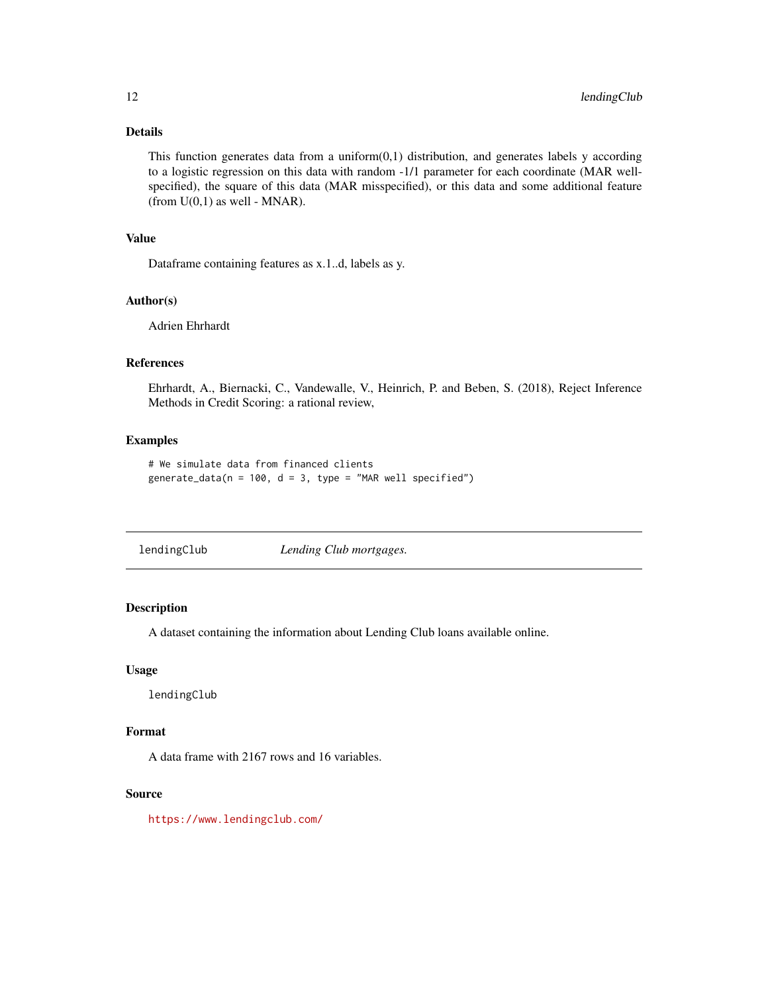#### <span id="page-11-0"></span>Details

This function generates data from a uniform $(0,1)$  distribution, and generates labels y according to a logistic regression on this data with random -1/1 parameter for each coordinate (MAR wellspecified), the square of this data (MAR misspecified), or this data and some additional feature (from  $U(0,1)$  as well - MNAR).

#### Value

Dataframe containing features as x.1..d, labels as y.

#### Author(s)

Adrien Ehrhardt

#### References

Ehrhardt, A., Biernacki, C., Vandewalle, V., Heinrich, P. and Beben, S. (2018), Reject Inference Methods in Credit Scoring: a rational review,

#### Examples

```
# We simulate data from financed clients
generate_data(n = 100, d = 3, type = "MAR well specified")
```
lendingClub *Lending Club mortgages.*

#### Description

A dataset containing the information about Lending Club loans available online.

#### Usage

lendingClub

#### Format

A data frame with 2167 rows and 16 variables.

#### Source

<https://www.lendingclub.com/>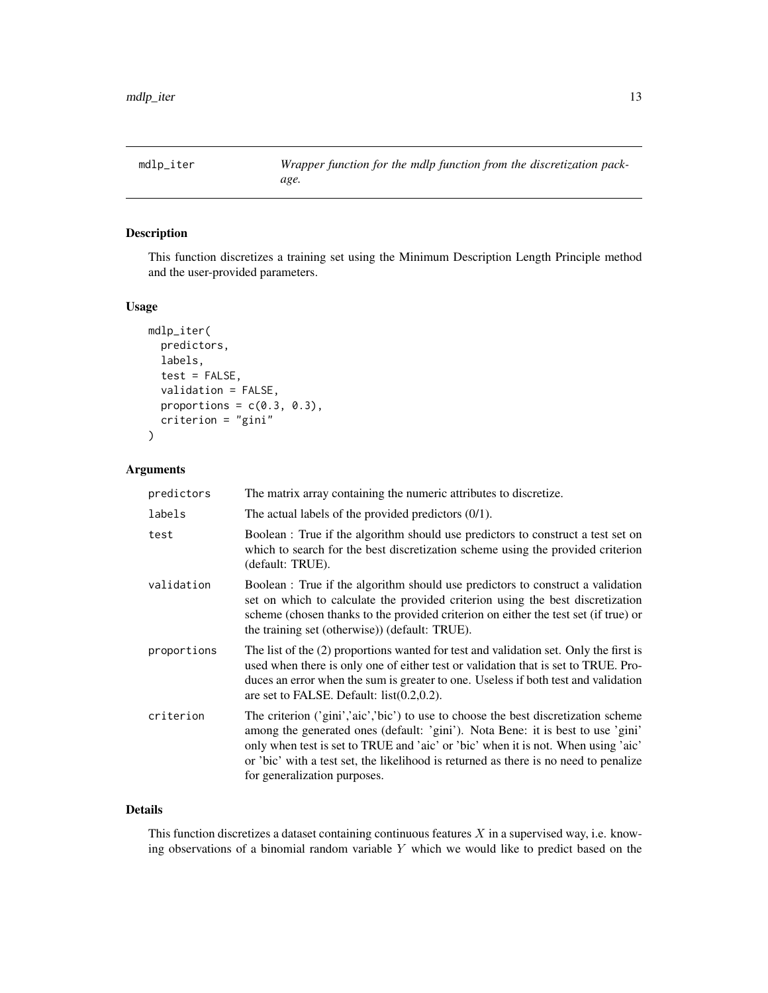<span id="page-12-0"></span>mdlp\_iter *Wrapper function for the mdlp function from the discretization package.*

#### Description

This function discretizes a training set using the Minimum Description Length Principle method and the user-provided parameters.

#### Usage

```
mdlp_iter(
  predictors,
  labels,
  test = FALSE,
  validation = FALSE,
  proportions = c(0.3, 0.3),
  criterion = "gini"
\mathcal{E}
```
#### Arguments

| predictors  | The matrix array containing the numeric attributes to discretize.                                                                                                                                                                                                                                                                                                                  |
|-------------|------------------------------------------------------------------------------------------------------------------------------------------------------------------------------------------------------------------------------------------------------------------------------------------------------------------------------------------------------------------------------------|
| labels      | The actual labels of the provided predictors $(0/1)$ .                                                                                                                                                                                                                                                                                                                             |
| test        | Boolean : True if the algorithm should use predictors to construct a test set on<br>which to search for the best discretization scheme using the provided criterion<br>(default: TRUE).                                                                                                                                                                                            |
| validation  | Boolean : True if the algorithm should use predictors to construct a validation<br>set on which to calculate the provided criterion using the best discretization<br>scheme (chosen thanks to the provided criterion on either the test set (if true) or<br>the training set (otherwise)) (default: TRUE).                                                                         |
| proportions | The list of the (2) proportions wanted for test and validation set. Only the first is<br>used when there is only one of either test or validation that is set to TRUE. Pro-<br>duces an error when the sum is greater to one. Useless if both test and validation<br>are set to FALSE. Default: $list(0.2, 0.2)$ .                                                                 |
| criterion   | The criterion ('gini','aic','bic') to use to choose the best discretization scheme<br>among the generated ones (default: 'gini'). Nota Bene: it is best to use 'gini'<br>only when test is set to TRUE and 'aic' or 'bic' when it is not. When using 'aic'<br>or 'bic' with a test set, the likelihood is returned as there is no need to penalize<br>for generalization purposes. |

#### Details

This function discretizes a dataset containing continuous features  $X$  in a supervised way, i.e. knowing observations of a binomial random variable Y which we would like to predict based on the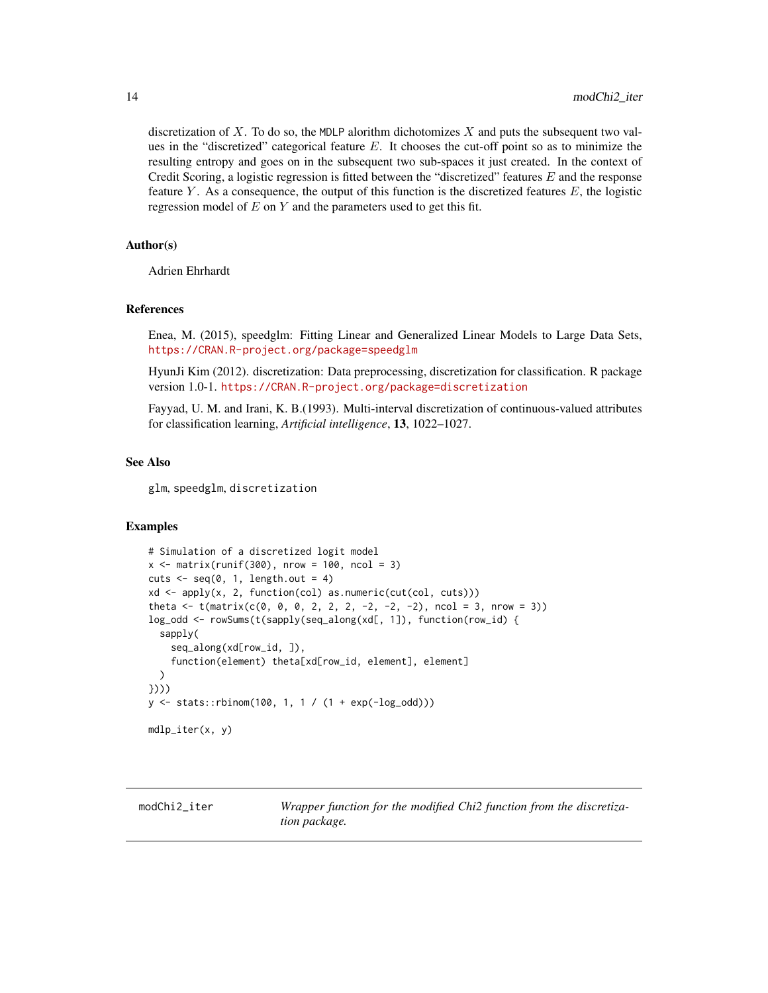<span id="page-13-0"></span>discretization of  $X$ . To do so, the MDLP alorithm dichotomizes  $X$  and puts the subsequent two values in the "discretized" categorical feature  $E$ . It chooses the cut-off point so as to minimize the resulting entropy and goes on in the subsequent two sub-spaces it just created. In the context of Credit Scoring, a logistic regression is fitted between the "discretized" features  $E$  and the response feature Y. As a consequence, the output of this function is the discretized features  $E$ , the logistic regression model of  $E$  on  $Y$  and the parameters used to get this fit.

#### Author(s)

Adrien Ehrhardt

#### References

Enea, M. (2015), speedglm: Fitting Linear and Generalized Linear Models to Large Data Sets, <https://CRAN.R-project.org/package=speedglm>

HyunJi Kim (2012). discretization: Data preprocessing, discretization for classification. R package version 1.0-1. <https://CRAN.R-project.org/package=discretization>

Fayyad, U. M. and Irani, K. B.(1993). Multi-interval discretization of continuous-valued attributes for classification learning, *Artificial intelligence*, 13, 1022–1027.

#### See Also

glm, speedglm, discretization

#### Examples

```
# Simulation of a discretized logit model
x \le matrix(runif(300), nrow = 100, ncol = 3)
cuts \leq seq(0, 1, length.out = 4)
xd <- apply(x, 2, function(col) as.numeric(cut(col, cuts)))
theta <- t(matrix(c(0, 0, 0, 2, 2, 2, -2, -2, -2), ncol = 3, nrow = 3))
log_odd <- rowSums(t(sapply(seq_along(xd[, 1]), function(row_id) {
 sapply(
    seq_along(xd[row_id, ]),
    function(element) theta[xd[row_id, element], element]
 )
})))
y <- stats::rbinom(100, 1, 1 / (1 + exp(-log_odd)))
mdlp_iter(x, y)
```
modChi2\_iter *Wrapper function for the modified Chi2 function from the discretization package.*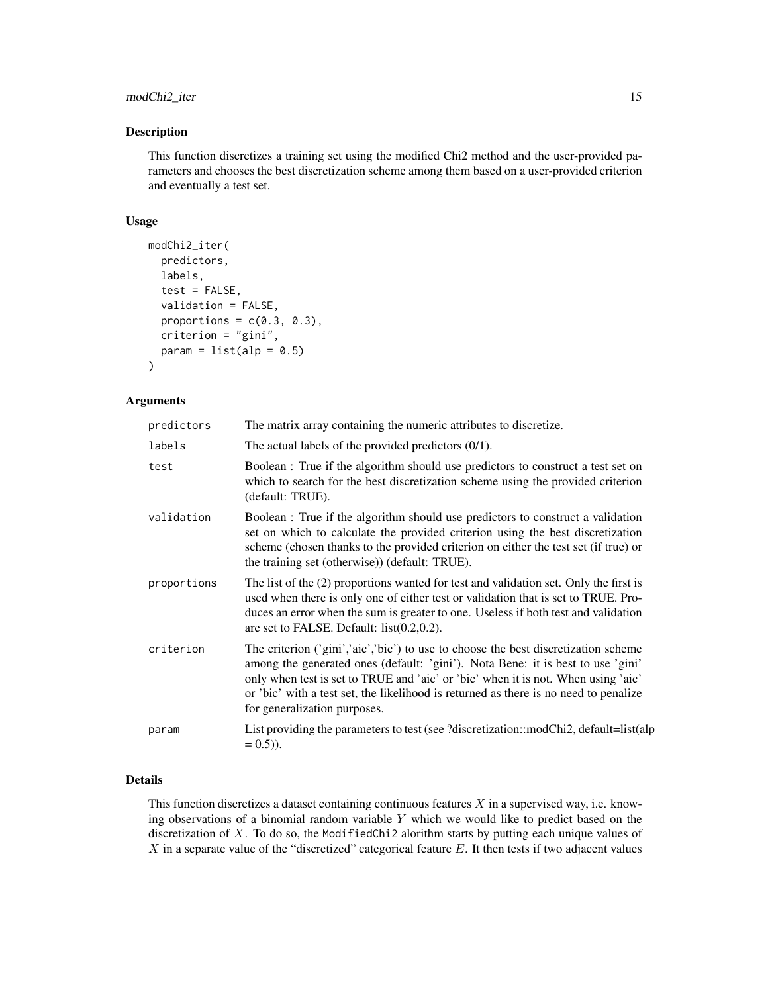#### modChi2\_iter 15

#### Description

This function discretizes a training set using the modified Chi2 method and the user-provided parameters and chooses the best discretization scheme among them based on a user-provided criterion and eventually a test set.

#### Usage

```
modChi2_iter(
  predictors,
  labels,
  test = FALSE,validation = FALSE,
  proportions = c(0.3, 0.3),
  criterion = "gini",
  param = list(alp = 0.5))
```
#### Arguments

| predictors  | The matrix array containing the numeric attributes to discretize.                                                                                                                                                                                                                                                                                                                  |
|-------------|------------------------------------------------------------------------------------------------------------------------------------------------------------------------------------------------------------------------------------------------------------------------------------------------------------------------------------------------------------------------------------|
| labels      | The actual labels of the provided predictors $(0/1)$ .                                                                                                                                                                                                                                                                                                                             |
| test        | Boolean : True if the algorithm should use predictors to construct a test set on<br>which to search for the best discretization scheme using the provided criterion<br>(default: TRUE).                                                                                                                                                                                            |
| validation  | Boolean : True if the algorithm should use predictors to construct a validation<br>set on which to calculate the provided criterion using the best discretization<br>scheme (chosen thanks to the provided criterion on either the test set (if true) or<br>the training set (otherwise)) (default: TRUE).                                                                         |
| proportions | The list of the (2) proportions wanted for test and validation set. Only the first is<br>used when there is only one of either test or validation that is set to TRUE. Pro-<br>duces an error when the sum is greater to one. Useless if both test and validation<br>are set to FALSE. Default: $list(0.2, 0.2)$ .                                                                 |
| criterion   | The criterion ('gini','aic','bic') to use to choose the best discretization scheme<br>among the generated ones (default: 'gini'). Nota Bene: it is best to use 'gini'<br>only when test is set to TRUE and 'aic' or 'bic' when it is not. When using 'aic'<br>or 'bic' with a test set, the likelihood is returned as there is no need to penalize<br>for generalization purposes. |
| param       | List providing the parameters to test (see ?discretization::modChi2, default=list(alp<br>$(0.5)$ .                                                                                                                                                                                                                                                                                 |

#### Details

This function discretizes a dataset containing continuous features  $X$  in a supervised way, i.e. knowing observations of a binomial random variable  $Y$  which we would like to predict based on the discretization of  $X$ . To do so, the ModifiedChi2 alorithm starts by putting each unique values of X in a separate value of the "discretized" categorical feature E. It then tests if two adjacent values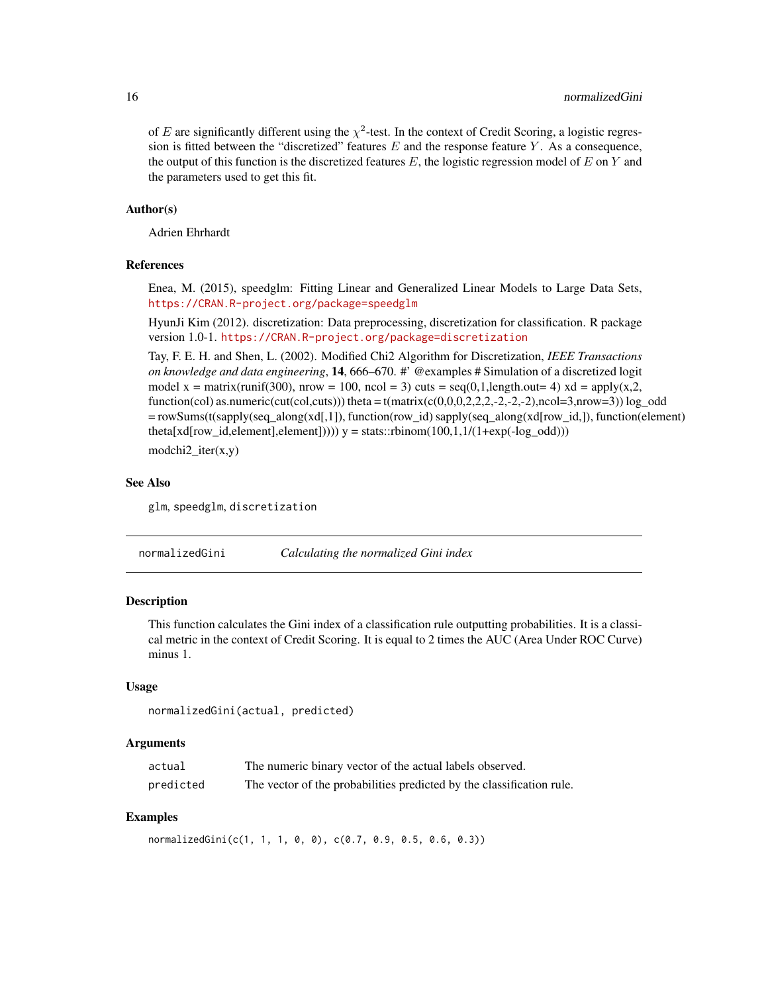<span id="page-15-0"></span>of E are significantly different using the  $\chi^2$ -test. In the context of Credit Scoring, a logistic regression is fitted between the "discretized" features  $E$  and the response feature  $Y$ . As a consequence, the output of this function is the discretized features E, the logistic regression model of E on Y and the parameters used to get this fit.

#### Author(s)

Adrien Ehrhardt

#### References

Enea, M. (2015), speedglm: Fitting Linear and Generalized Linear Models to Large Data Sets, <https://CRAN.R-project.org/package=speedglm>

HyunJi Kim (2012). discretization: Data preprocessing, discretization for classification. R package version 1.0-1. <https://CRAN.R-project.org/package=discretization>

Tay, F. E. H. and Shen, L. (2002). Modified Chi2 Algorithm for Discretization, *IEEE Transactions on knowledge and data engineering*, 14, 666–670. #' @examples # Simulation of a discretized logit model x = matrix(runif(300), nrow = 100, ncol = 3) cuts =  $seq(0,1, length.out= 4)$  xd =  $apply(x,2,$ function(col) as.numeric(cut(col,cuts))) theta = t(matrix(c(0,0,0,2,2,2,-2,-2,-2),ncol=3,nrow=3)) log\_odd  $= rowSums(t(sapply(seqalong(xdf,1)), function(rowid)$  sapply(seq\_along(xd[row\_id,]), function(element) theta[xd[row\_id,element],element]))))  $y = stats::rbinom(100,1,1/(1+exp(-log_codd)))$ 

modchi2\_iter(x,y)

#### See Also

glm, speedglm, discretization

normalizedGini *Calculating the normalized Gini index*

#### Description

This function calculates the Gini index of a classification rule outputting probabilities. It is a classical metric in the context of Credit Scoring. It is equal to 2 times the AUC (Area Under ROC Curve) minus 1.

#### Usage

```
normalizedGini(actual, predicted)
```
#### Arguments

| actual    | The numeric binary vector of the actual labels observed.              |
|-----------|-----------------------------------------------------------------------|
| predicted | The vector of the probabilities predicted by the classification rule. |

#### Examples

normalizedGini(c(1, 1, 1, 0, 0), c(0.7, 0.9, 0.5, 0.6, 0.3))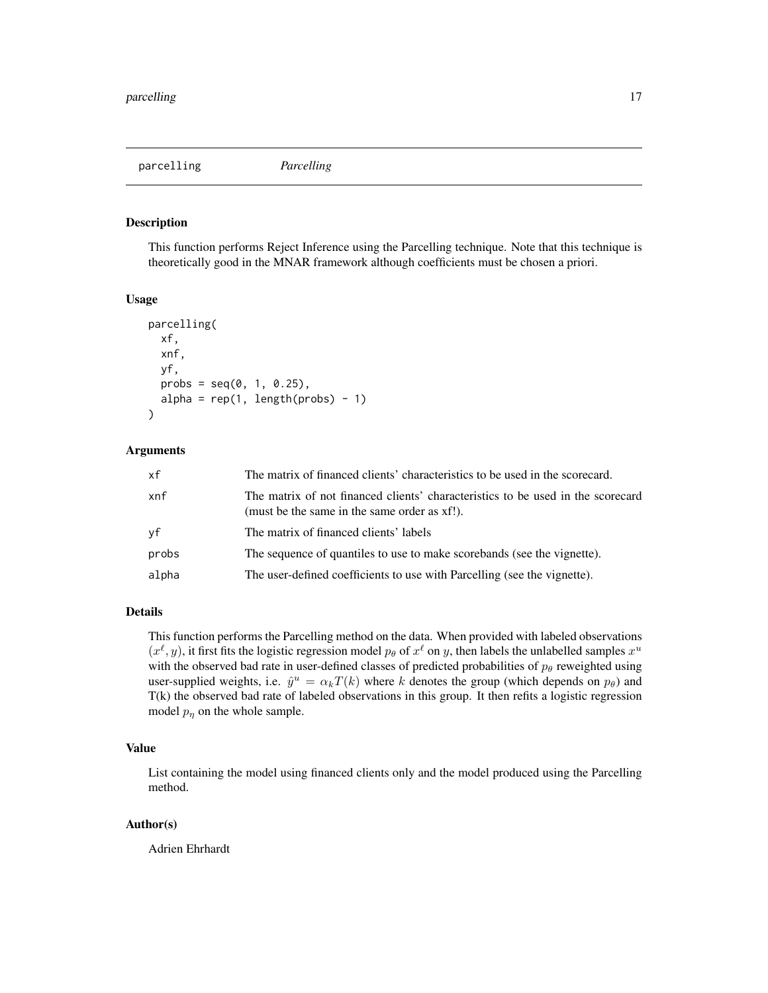<span id="page-16-0"></span>parcelling *Parcelling*

#### Description

This function performs Reject Inference using the Parcelling technique. Note that this technique is theoretically good in the MNAR framework although coefficients must be chosen a priori.

#### Usage

```
parcelling(
  xf,
  xnf,
 yf,
 probs = seq(0, 1, 0.25),
  alpha = rep(1, length(probs) - 1))
```
#### Arguments

| xf    | The matrix of financed clients' characteristics to be used in the scorecard.                                                    |
|-------|---------------------------------------------------------------------------------------------------------------------------------|
| xnf   | The matrix of not financed clients' characteristics to be used in the scorecard<br>(must be the same in the same order as xf!). |
| уf    | The matrix of financed clients' labels                                                                                          |
| probs | The sequence of quantiles to use to make scorebands (see the vignette).                                                         |
| alpha | The user-defined coefficients to use with Parcelling (see the vignette).                                                        |

#### Details

This function performs the Parcelling method on the data. When provided with labeled observations  $(x^{\ell}, y)$ , it first fits the logistic regression model  $p_{\theta}$  of  $x^{\ell}$  on y, then labels the unlabelled samples  $x^u$ with the observed bad rate in user-defined classes of predicted probabilities of  $p_\theta$  reweighted using user-supplied weights, i.e.  $\hat{y}^u = \alpha_k T(k)$  where k denotes the group (which depends on  $p_\theta$ ) and T(k) the observed bad rate of labeled observations in this group. It then refits a logistic regression model  $p_{\eta}$  on the whole sample.

#### Value

List containing the model using financed clients only and the model produced using the Parcelling method.

#### Author(s)

Adrien Ehrhardt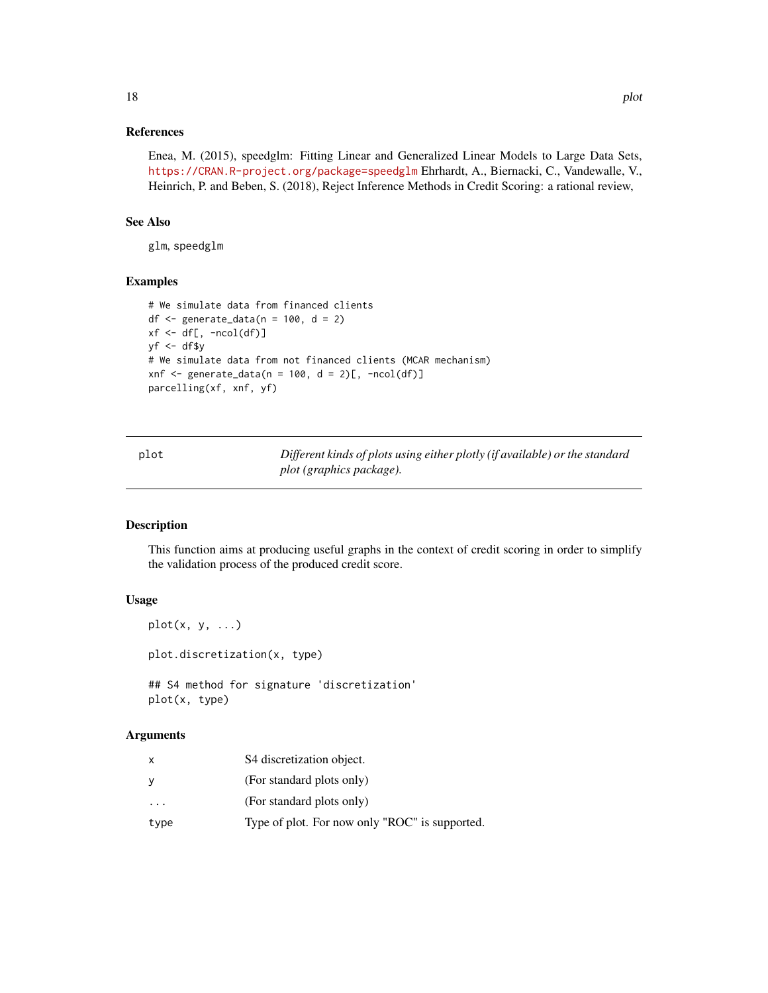#### <span id="page-17-0"></span>References

Enea, M. (2015), speedglm: Fitting Linear and Generalized Linear Models to Large Data Sets, <https://CRAN.R-project.org/package=speedglm> Ehrhardt, A., Biernacki, C., Vandewalle, V., Heinrich, P. and Beben, S. (2018), Reject Inference Methods in Credit Scoring: a rational review,

#### See Also

glm, speedglm

#### Examples

```
# We simulate data from financed clients
df <- generate_data(n = 100, d = 2)
xf \leftarrow df[, -ncol(df)]yf \leftarrow df\y
# We simulate data from not financed clients (MCAR mechanism)
xnf \leq generate_data(n = 100, d = 2)[, -ncol(df)]
parcelling(xf, xnf, yf)
```

| plot | Different kinds of plots using either plotly (if available) or the standard |
|------|-----------------------------------------------------------------------------|
|      | plot (graphics package).                                                    |

#### Description

This function aims at producing useful graphs in the context of credit scoring in order to simplify the validation process of the produced credit score.

#### Usage

```
plot(x, y, \ldots)
```
plot.discretization(x, type)

## S4 method for signature 'discretization' plot(x, type)

#### Arguments

| X    | S4 discretization object.                      |
|------|------------------------------------------------|
| y    | (For standard plots only)                      |
| .    | (For standard plots only)                      |
| type | Type of plot. For now only "ROC" is supported. |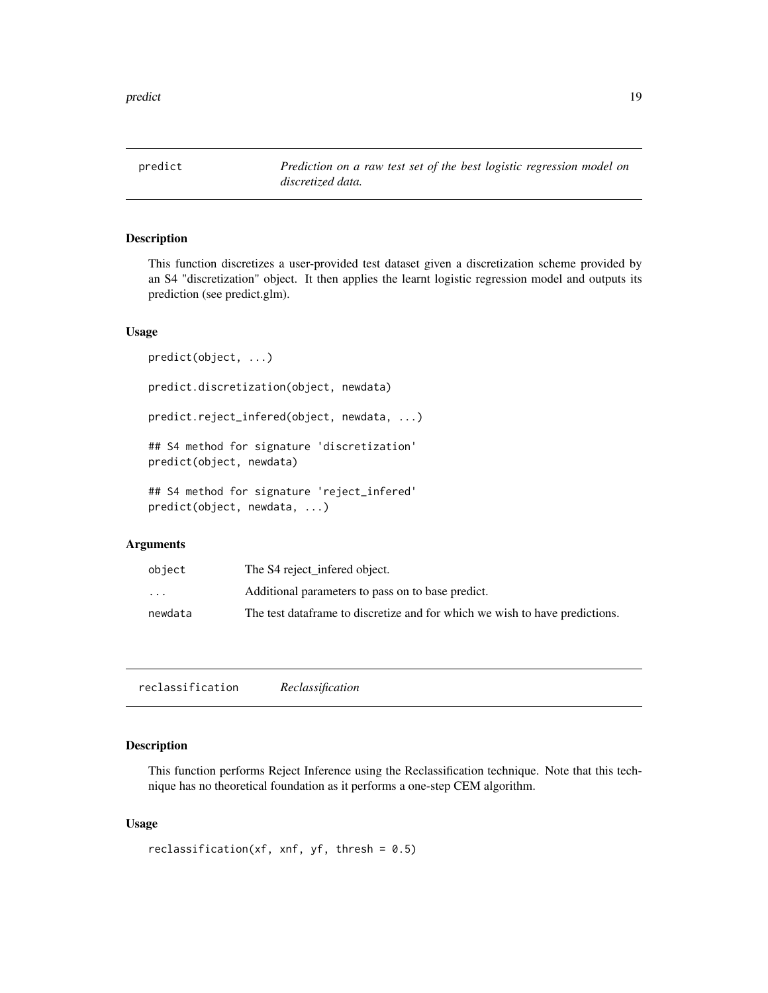<span id="page-18-0"></span>predict *Prediction on a raw test set of the best logistic regression model on discretized data.*

#### Description

This function discretizes a user-provided test dataset given a discretization scheme provided by an S4 "discretization" object. It then applies the learnt logistic regression model and outputs its prediction (see predict.glm).

#### Usage

```
predict(object, ...)
predict.discretization(object, newdata)
predict.reject_infered(object, newdata, ...)
## S4 method for signature 'discretization'
predict(object, newdata)
## S4 method for signature 'reject_infered'
predict(object, newdata, ...)
```
#### Arguments

| object                  | The S4 reject_infered object.                                                |
|-------------------------|------------------------------------------------------------------------------|
| $\cdot$ $\cdot$ $\cdot$ | Additional parameters to pass on to base predict.                            |
| newdata                 | The test data frame to discretize and for which we wish to have predictions. |

reclassification *Reclassification*

#### Description

This function performs Reject Inference using the Reclassification technique. Note that this technique has no theoretical foundation as it performs a one-step CEM algorithm.

#### Usage

```
reclassification(xf, xnf, yf, thresh = 0.5)
```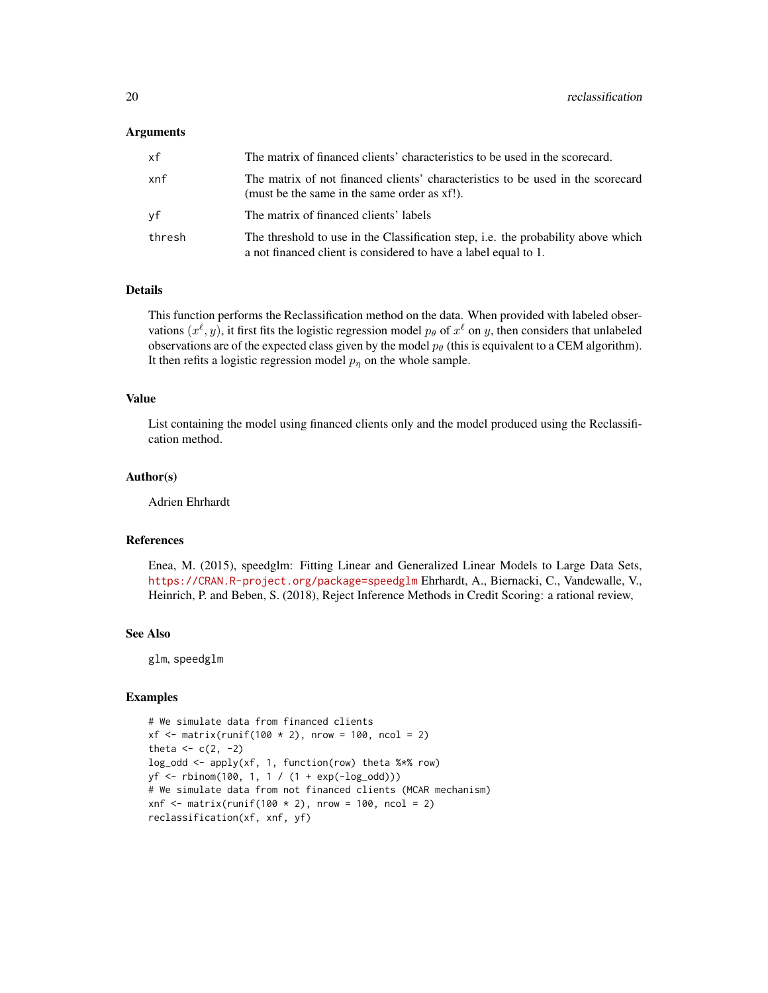#### Arguments

| хf     | The matrix of financed clients' characteristics to be used in the scorecard.                                                                         |
|--------|------------------------------------------------------------------------------------------------------------------------------------------------------|
| xnf    | The matrix of not financed clients' characteristics to be used in the scorecard<br>(must be the same in the same order as xf!).                      |
| νf     | The matrix of financed clients' labels                                                                                                               |
| thresh | The threshold to use in the Classification step, i.e. the probability above which<br>a not financed client is considered to have a label equal to 1. |

#### Details

This function performs the Reclassification method on the data. When provided with labeled observations  $(x^{\ell}, y)$ , it first fits the logistic regression model  $p_{\theta}$  of  $x^{\ell}$  on y, then considers that unlabeled observations are of the expected class given by the model  $p_\theta$  (this is equivalent to a CEM algorithm). It then refits a logistic regression model  $p<sub>\eta</sub>$  on the whole sample.

#### Value

List containing the model using financed clients only and the model produced using the Reclassification method.

#### Author(s)

Adrien Ehrhardt

#### References

Enea, M. (2015), speedglm: Fitting Linear and Generalized Linear Models to Large Data Sets, <https://CRAN.R-project.org/package=speedglm> Ehrhardt, A., Biernacki, C., Vandewalle, V., Heinrich, P. and Beben, S. (2018), Reject Inference Methods in Credit Scoring: a rational review,

#### See Also

glm, speedglm

#### Examples

```
# We simulate data from financed clients
xf \le - matrix(runif(100 * 2), nrow = 100, ncol = 2)
theta \leftarrow c(2, -2)
log_odd <- apply(xf, 1, function(row) theta %*% row)
yf <- rbinom(100, 1, 1 / (1 + exp(-log_odd)))
# We simulate data from not financed clients (MCAR mechanism)
xnf \le matrix(runif(100 \neq 2), nrow = 100, ncol = 2)
reclassification(xf, xnf, yf)
```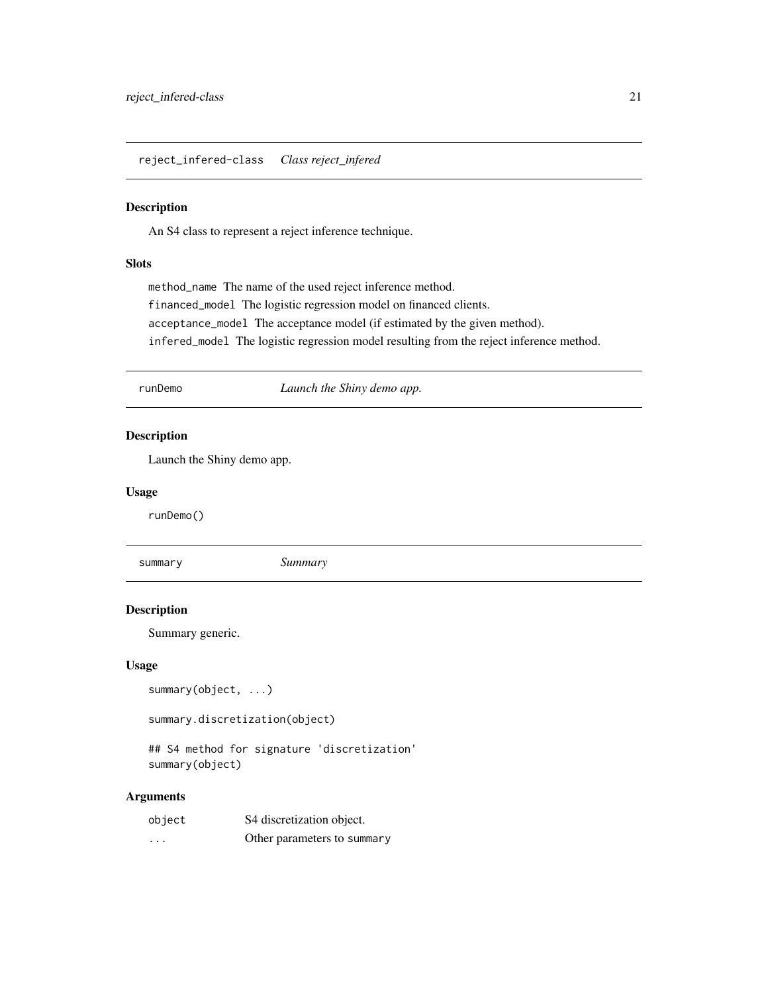<span id="page-20-0"></span>reject\_infered-class *Class reject\_infered*

#### Description

An S4 class to represent a reject inference technique.

#### Slots

method\_name The name of the used reject inference method. financed\_model The logistic regression model on financed clients. acceptance\_model The acceptance model (if estimated by the given method). infered\_model The logistic regression model resulting from the reject inference method.

runDemo *Launch the Shiny demo app.*

#### Description

Launch the Shiny demo app.

#### Usage

runDemo()

summary *Summary*

#### Description

Summary generic.

#### Usage

```
summary(object, ...)
```
summary.discretization(object)

## S4 method for signature 'discretization' summary(object)

#### Arguments

| object   | S4 discretization object.   |
|----------|-----------------------------|
| $\cdots$ | Other parameters to summary |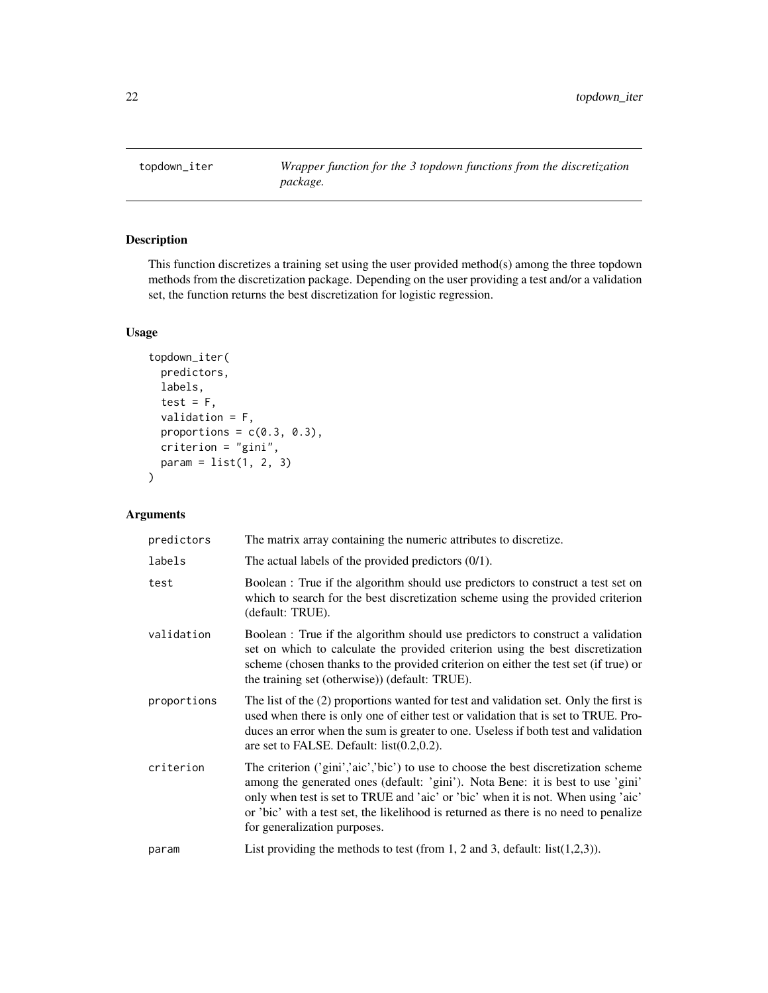<span id="page-21-0"></span>topdown\_iter *Wrapper function for the 3 topdown functions from the discretization package.*

#### Description

This function discretizes a training set using the user provided method(s) among the three topdown methods from the discretization package. Depending on the user providing a test and/or a validation set, the function returns the best discretization for logistic regression.

#### Usage

```
topdown_iter(
 predictors,
  labels,
  test = F,
  validation = F,
 proportions = c(0.3, 0.3),
 criterion = "gini",
 param = list(1, 2, 3)
)
```
#### Arguments

| predictors  | The matrix array containing the numeric attributes to discretize.                                                                                                                                                                                                                                                                                                                  |
|-------------|------------------------------------------------------------------------------------------------------------------------------------------------------------------------------------------------------------------------------------------------------------------------------------------------------------------------------------------------------------------------------------|
| labels      | The actual labels of the provided predictors $(0/1)$ .                                                                                                                                                                                                                                                                                                                             |
| test        | Boolean : True if the algorithm should use predictors to construct a test set on<br>which to search for the best discretization scheme using the provided criterion<br>(default: TRUE).                                                                                                                                                                                            |
| validation  | Boolean : True if the algorithm should use predictors to construct a validation<br>set on which to calculate the provided criterion using the best discretization<br>scheme (chosen thanks to the provided criterion on either the test set (if true) or<br>the training set (otherwise)) (default: TRUE).                                                                         |
| proportions | The list of the (2) proportions wanted for test and validation set. Only the first is<br>used when there is only one of either test or validation that is set to TRUE. Pro-<br>duces an error when the sum is greater to one. Useless if both test and validation<br>are set to FALSE. Default: $list(0.2, 0.2)$ .                                                                 |
| criterion   | The criterion ('gini','aic','bic') to use to choose the best discretization scheme<br>among the generated ones (default: 'gini'). Nota Bene: it is best to use 'gini'<br>only when test is set to TRUE and 'aic' or 'bic' when it is not. When using 'aic'<br>or 'bic' with a test set, the likelihood is returned as there is no need to penalize<br>for generalization purposes. |
| param       | List providing the methods to test (from 1, 2 and 3, default: $list(1,2,3)$ ).                                                                                                                                                                                                                                                                                                     |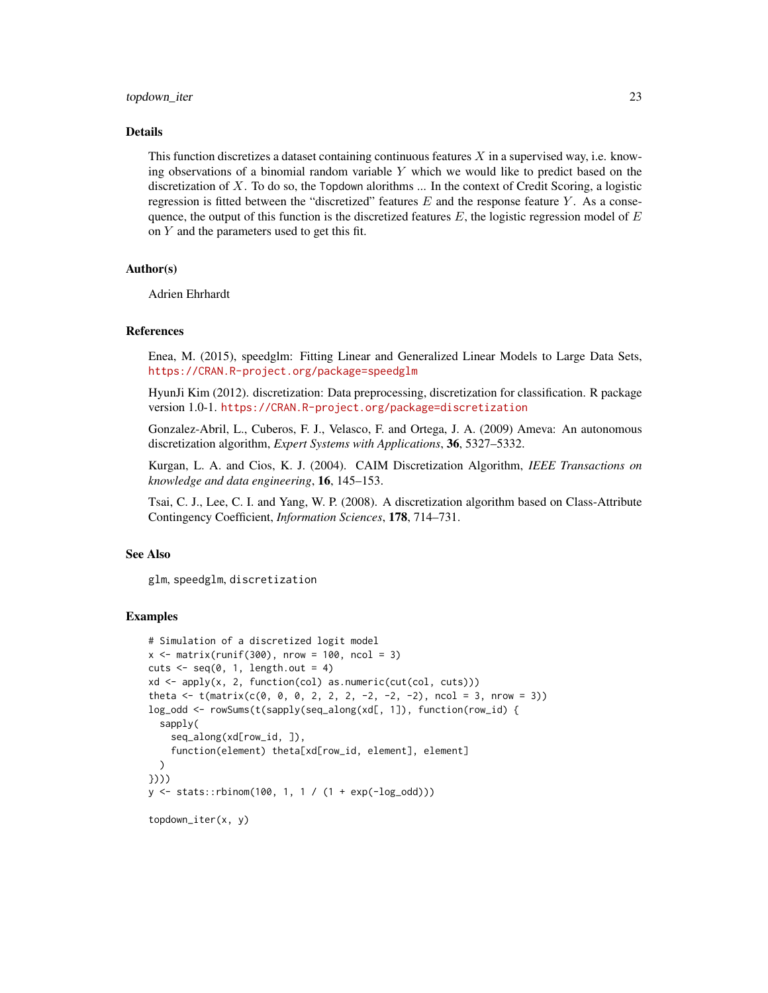#### topdown\_iter 23

#### Details

This function discretizes a dataset containing continuous features  $X$  in a supervised way, i.e. knowing observations of a binomial random variable Y which we would like to predict based on the discretization of X. To do so, the Topdown alorithms ... In the context of Credit Scoring, a logistic regression is fitted between the "discretized" features  $E$  and the response feature  $Y$ . As a consequence, the output of this function is the discretized features  $E$ , the logistic regression model of  $E$ on  $Y$  and the parameters used to get this fit.

#### Author(s)

Adrien Ehrhardt

#### References

Enea, M. (2015), speedglm: Fitting Linear and Generalized Linear Models to Large Data Sets, <https://CRAN.R-project.org/package=speedglm>

HyunJi Kim (2012). discretization: Data preprocessing, discretization for classification. R package version 1.0-1. <https://CRAN.R-project.org/package=discretization>

Gonzalez-Abril, L., Cuberos, F. J., Velasco, F. and Ortega, J. A. (2009) Ameva: An autonomous discretization algorithm, *Expert Systems with Applications*, 36, 5327–5332.

Kurgan, L. A. and Cios, K. J. (2004). CAIM Discretization Algorithm, *IEEE Transactions on knowledge and data engineering*, 16, 145–153.

Tsai, C. J., Lee, C. I. and Yang, W. P. (2008). A discretization algorithm based on Class-Attribute Contingency Coefficient, *Information Sciences*, 178, 714–731.

#### See Also

glm, speedglm, discretization

#### Examples

```
# Simulation of a discretized logit model
x \le matrix(runif(300), nrow = 100, ncol = 3)
cuts \leq seq(0, 1, length.out = 4)
xd <- apply(x, 2, function(col) as.numeric(cut(col, cuts)))
theta \leftarrow t(matrix(c(0, 0, 0, 2, 2, 2, -2, -2, -2), ncol = 3, nrow = 3))
log_odd <- rowSums(t(sapply(seq_along(xd[, 1]), function(row_id) {
  sapply(
    seq_along(xd[row_id, ]),
    function(element) theta[xd[row_id, element], element]
  )
})))
y <- stats::rbinom(100, 1, 1 / (1 + exp(-log_odd)))
topdown_iter(x, y)
```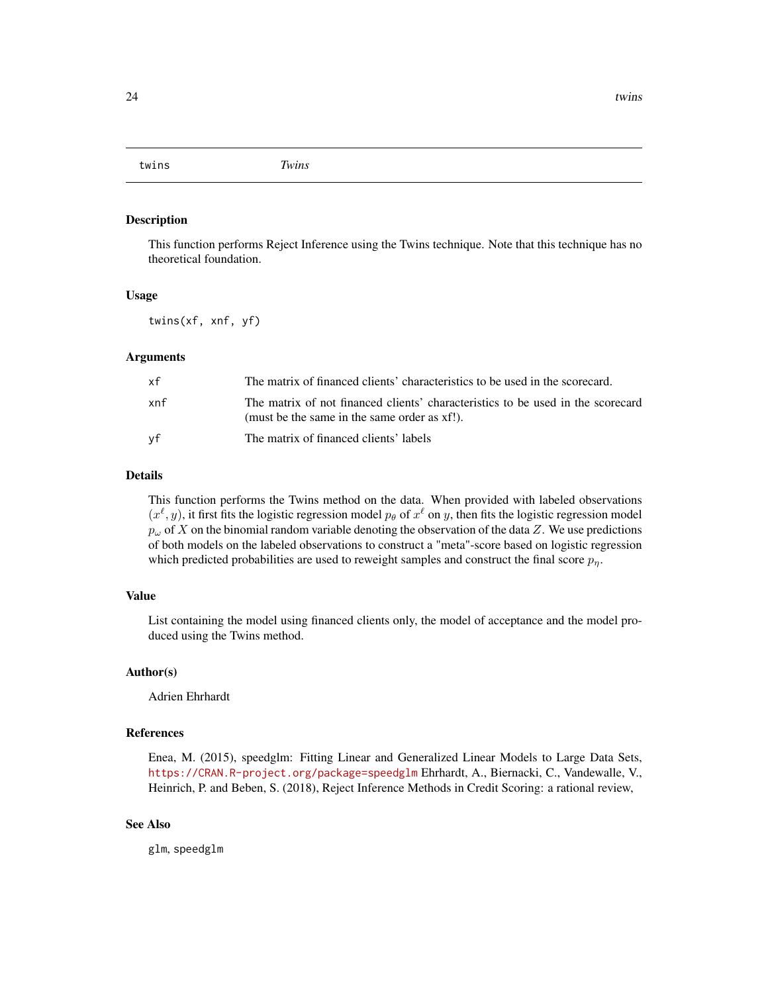<span id="page-23-0"></span>twins *Twins*

#### Description

This function performs Reject Inference using the Twins technique. Note that this technique has no theoretical foundation.

#### Usage

twins(xf, xnf, yf)

#### Arguments

| хf  | The matrix of financed clients' characteristics to be used in the scorecard.                                                    |
|-----|---------------------------------------------------------------------------------------------------------------------------------|
| xnf | The matrix of not financed clients' characteristics to be used in the scorecard<br>(must be the same in the same order as xf!). |
| vf  | The matrix of financed clients' labels                                                                                          |

#### Details

This function performs the Twins method on the data. When provided with labeled observations  $(x^{\ell}, y)$ , it first fits the logistic regression model  $p_{\theta}$  of  $x^{\ell}$  on y, then fits the logistic regression model  $p_{\omega}$  of X on the binomial random variable denoting the observation of the data Z. We use predictions of both models on the labeled observations to construct a "meta"-score based on logistic regression which predicted probabilities are used to reweight samples and construct the final score  $p_n$ .

#### Value

List containing the model using financed clients only, the model of acceptance and the model produced using the Twins method.

#### Author(s)

Adrien Ehrhardt

#### References

Enea, M. (2015), speedglm: Fitting Linear and Generalized Linear Models to Large Data Sets, <https://CRAN.R-project.org/package=speedglm> Ehrhardt, A., Biernacki, C., Vandewalle, V., Heinrich, P. and Beben, S. (2018), Reject Inference Methods in Credit Scoring: a rational review,

#### See Also

glm, speedglm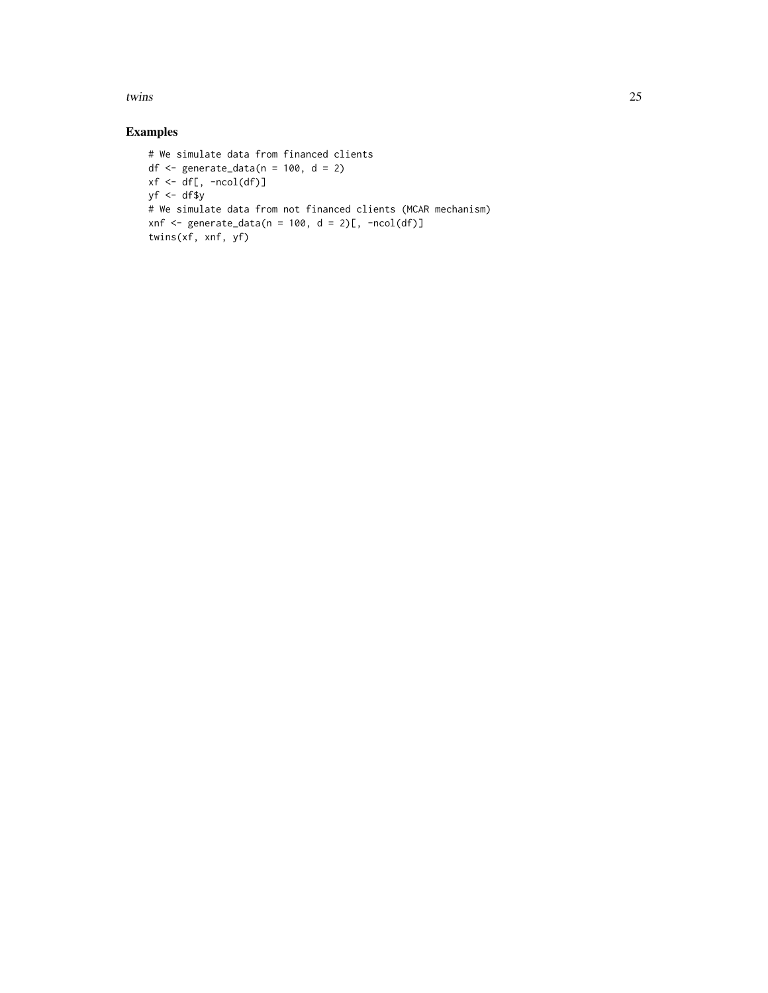twins 25

### Examples

```
# We simulate data from financed clients
df \leq generate_data(n = 100, d = 2)
xf \leftarrow df[, -ncol(df)]yf <- df$y
# We simulate data from not financed clients (MCAR mechanism)
xnf <- generate_data(n = 100, d = 2)[, -ncol(df)]
twins(xf, xnf, yf)
```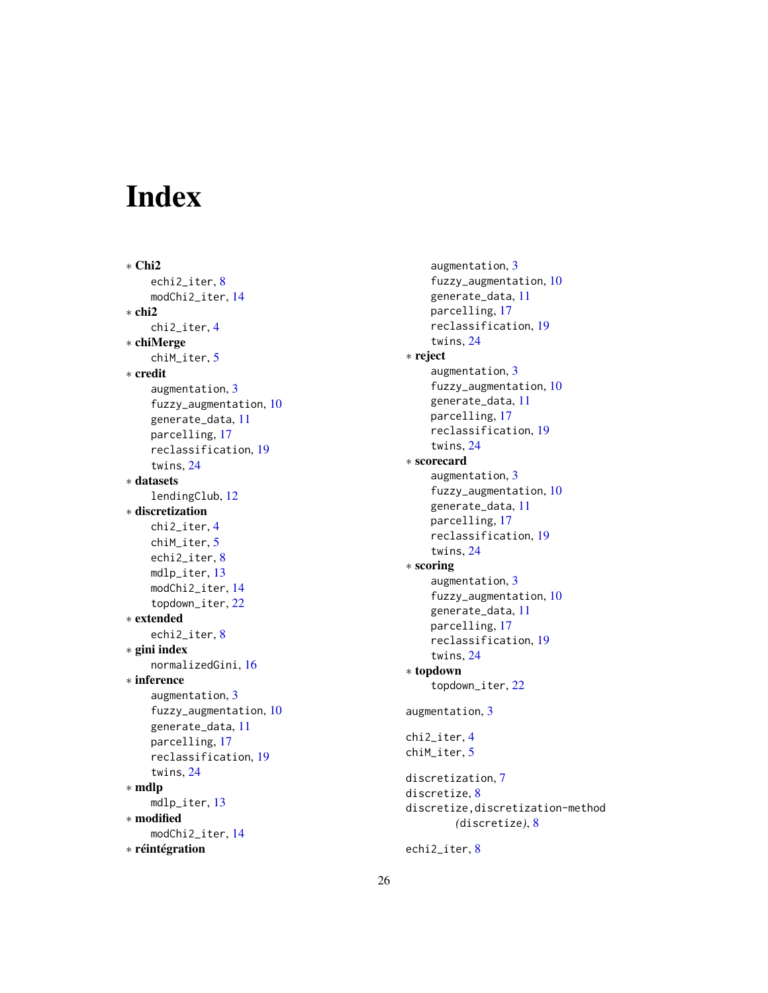# <span id="page-25-0"></span>Index

∗ Chi2 echi2\_iter , [8](#page-7-0) modChi2\_iter , [14](#page-13-0) ∗ chi2 chi2\_iter , [4](#page-3-0) ∗ chiMerge chiM\_iter , [5](#page-4-0) ∗ credit augmentation, [3](#page-2-0) fuzzy\_augmentation , [10](#page-9-0) generate\_data , [11](#page-10-0) parcelling , [17](#page-16-0) reclassification , [19](#page-18-0) twins , [24](#page-23-0) ∗ datasets lendingClub , [12](#page-11-0) ∗ discretization chi2\_iter , [4](#page-3-0) chiM\_iter , [5](#page-4-0) echi2\_iter , [8](#page-7-0) mdlp\_iter , [13](#page-12-0) modChi2\_iter , [14](#page-13-0) topdown\_iter , [22](#page-21-0) ∗ extended echi2\_iter , [8](#page-7-0) ∗ gini index normalizedGini , [16](#page-15-0) ∗ inference augmentation, [3](#page-2-0) fuzzy\_augmentation , [10](#page-9-0) generate\_data , [11](#page-10-0) parcelling , [17](#page-16-0) reclassification , [19](#page-18-0) twins , [24](#page-23-0) ∗ mdlp mdlp\_iter , [13](#page-12-0) ∗ modified modChi2\_iter , [14](#page-13-0) ∗ réintégration

augmentation , [3](#page-2-0) fuzzy\_augmentation, [10](#page-9-0) generate\_data , [11](#page-10-0) parcelling , [17](#page-16-0) reclassification , [19](#page-18-0) twins , [24](#page-23-0) ∗ reject augmentation , [3](#page-2-0) fuzzy\_augmentation, [10](#page-9-0) generate\_data , [11](#page-10-0) parcelling , [17](#page-16-0) reclassification , [19](#page-18-0) twins , [24](#page-23-0) ∗ scorecard augmentation, [3](#page-2-0) fuzzy\_augmentation, [10](#page-9-0) generate\_data , [11](#page-10-0) parcelling , [17](#page-16-0) reclassification , [19](#page-18-0) twins , [24](#page-23-0) ∗ scoring augmentation, [3](#page-2-0) fuzzy\_augmentation , [10](#page-9-0) generate\_data , [11](#page-10-0) parcelling , [17](#page-16-0) reclassification , [19](#page-18-0) twins , [24](#page-23-0) ∗ topdown topdown\_iter , [22](#page-21-0) augmentation, [3](#page-2-0) chi2\_iter , [4](#page-3-0) chiM\_iter , [5](#page-4-0) discretization , [7](#page-6-0) discretize, [8](#page-7-0) discretize,discretization-method *(*discretize*)*, [8](#page-7-0)

echi2\_iter,[8](#page-7-0)